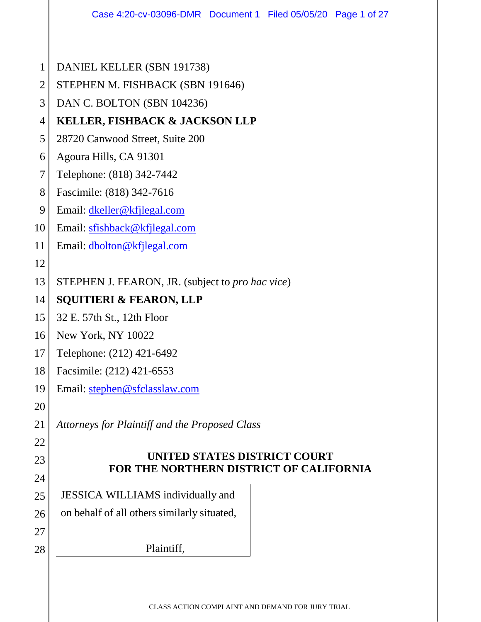|                | Case 4:20-cv-03096-DMR  Document 1  Filed 05/05/20  Page 1 of 27               |  |  |  |  |  |  |  |
|----------------|--------------------------------------------------------------------------------|--|--|--|--|--|--|--|
|                |                                                                                |  |  |  |  |  |  |  |
| $\mathbf{1}$   | DANIEL KELLER (SBN 191738)                                                     |  |  |  |  |  |  |  |
| $\overline{2}$ | STEPHEN M. FISHBACK (SBN 191646)                                               |  |  |  |  |  |  |  |
| 3              | DAN C. BOLTON (SBN 104236)                                                     |  |  |  |  |  |  |  |
| $\overline{4}$ | <b>KELLER, FISHBACK &amp; JACKSON LLP</b>                                      |  |  |  |  |  |  |  |
| 5              | 28720 Canwood Street, Suite 200                                                |  |  |  |  |  |  |  |
| 6              | Agoura Hills, CA 91301                                                         |  |  |  |  |  |  |  |
| 7              | Telephone: (818) 342-7442                                                      |  |  |  |  |  |  |  |
| 8              | Fascimile: (818) 342-7616                                                      |  |  |  |  |  |  |  |
| 9              | Email: dkeller@kfjlegal.com                                                    |  |  |  |  |  |  |  |
| 10             | Email: sfishback@kfjlegal.com                                                  |  |  |  |  |  |  |  |
| 11             | Email: dbolton@kfjlegal.com                                                    |  |  |  |  |  |  |  |
| 12             |                                                                                |  |  |  |  |  |  |  |
| 13             | STEPHEN J. FEARON, JR. (subject to <i>pro hac vice</i> )                       |  |  |  |  |  |  |  |
| 14             | <b>SQUITIERI &amp; FEARON, LLP</b>                                             |  |  |  |  |  |  |  |
| 15             | 32 E. 57th St., 12th Floor                                                     |  |  |  |  |  |  |  |
| 16             | New York, NY 10022                                                             |  |  |  |  |  |  |  |
| 17             | Telephone: (212) 421-6492                                                      |  |  |  |  |  |  |  |
| 18             | Facsimile: (212) 421-6553                                                      |  |  |  |  |  |  |  |
| 19             | Email: stephen@sfclasslaw.com                                                  |  |  |  |  |  |  |  |
| 20             |                                                                                |  |  |  |  |  |  |  |
| 21             | Attorneys for Plaintiff and the Proposed Class                                 |  |  |  |  |  |  |  |
| 22             |                                                                                |  |  |  |  |  |  |  |
| 23             | UNITED STATES DISTRICT COURT<br><b>FOR THE NORTHERN DISTRICT OF CALIFORNIA</b> |  |  |  |  |  |  |  |
| 24             |                                                                                |  |  |  |  |  |  |  |
| 25             | JESSICA WILLIAMS individually and                                              |  |  |  |  |  |  |  |
| 26             | on behalf of all others similarly situated,                                    |  |  |  |  |  |  |  |
| 27             |                                                                                |  |  |  |  |  |  |  |
| 28             | Plaintiff,                                                                     |  |  |  |  |  |  |  |
|                |                                                                                |  |  |  |  |  |  |  |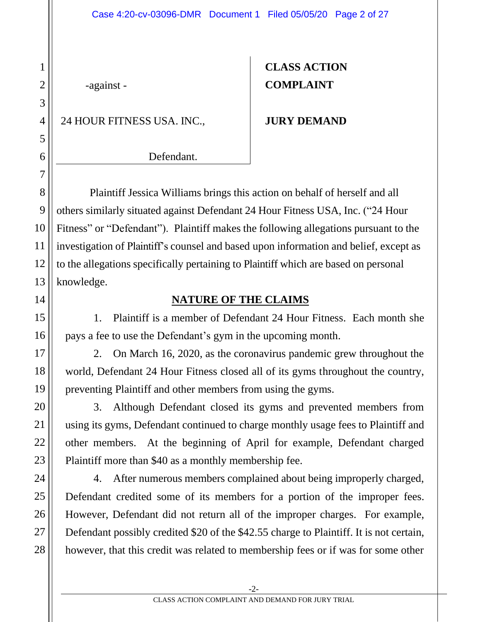-against -

24 HOUR FITNESS USA. INC.,

# **CLASS ACTION COMPLAINT**

#### **JURY DEMAND**

Defendant.

Plaintiff Jessica Williams brings this action on behalf of herself and all others similarly situated against Defendant 24 Hour Fitness USA, Inc. ("24 Hour Fitness" or "Defendant"). Plaintiff makes the following allegations pursuant to the investigation of Plaintiff's counsel and based upon information and belief, except as to the allegations specifically pertaining to Plaintiff which are based on personal knowledge.

#### **NATURE OF THE CLAIMS**

1. Plaintiff is a member of Defendant 24 Hour Fitness. Each month she pays a fee to use the Defendant's gym in the upcoming month.

2. On March 16, 2020, as the coronavirus pandemic grew throughout the world, Defendant 24 Hour Fitness closed all of its gyms throughout the country, preventing Plaintiff and other members from using the gyms.

3. Although Defendant closed its gyms and prevented members from using its gyms, Defendant continued to charge monthly usage fees to Plaintiff and other members. At the beginning of April for example, Defendant charged Plaintiff more than \$40 as a monthly membership fee.

4. After numerous members complained about being improperly charged, Defendant credited some of its members for a portion of the improper fees. However, Defendant did not return all of the improper charges. For example, Defendant possibly credited \$20 of the \$42.55 charge to Plaintiff. It is not certain, however, that this credit was related to membership fees or if was for some other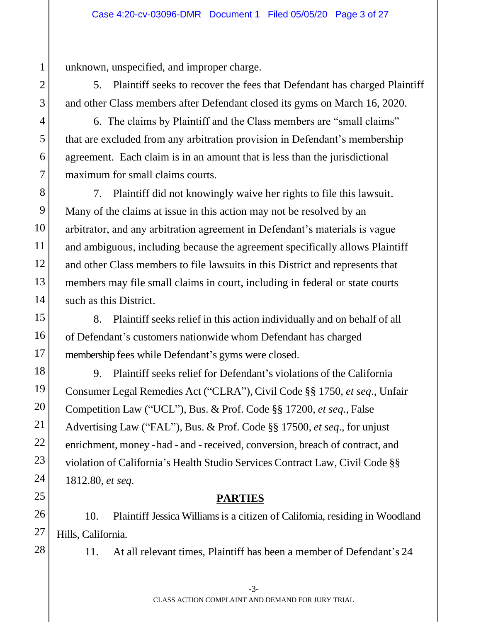unknown, unspecified, and improper charge.

5. Plaintiff seeks to recover the fees that Defendant has charged Plaintiff and other Class members after Defendant closed its gyms on March 16, 2020.

6. The claims by Plaintiff and the Class members are "small claims" that are excluded from any arbitration provision in Defendant's membership agreement. Each claim is in an amount that is less than the jurisdictional maximum for small claims courts.

7. Plaintiff did not knowingly waive her rights to file this lawsuit. Many of the claims at issue in this action may not be resolved by an arbitrator, and any arbitration agreement in Defendant's materials is vague and ambiguous, including because the agreement specifically allows Plaintiff and other Class members to file lawsuits in this District and represents that members may file small claims in court, including in federal or state courts such as this District.

8. Plaintiff seeks relief in this action individually and on behalf of all of Defendant's customers nationwide whom Defendant has charged membership fees while Defendant's gyms were closed.

9. Plaintiff seeks relief for Defendant's violations of the California Consumer Legal Remedies Act ("CLRA"), Civil Code §§ 1750, *et seq*., Unfair Competition Law ("UCL"), Bus. & Prof. Code §§ 17200, *et seq*., False Advertising Law ("FAL"), Bus. & Prof. Code §§ 17500, *et seq*., for unjust enrichment, money - had - and - received, conversion, breach of contract, and violation of California's Health Studio Services Contract Law, Civil Code §§ 1812.80, *et seq.*

## **PARTIES**

10. Plaintiff Jessica Williams is a citizen of California, residing in Woodland Hills, California.

11. At all relevant times, Plaintiff has been a member of Defendant's 24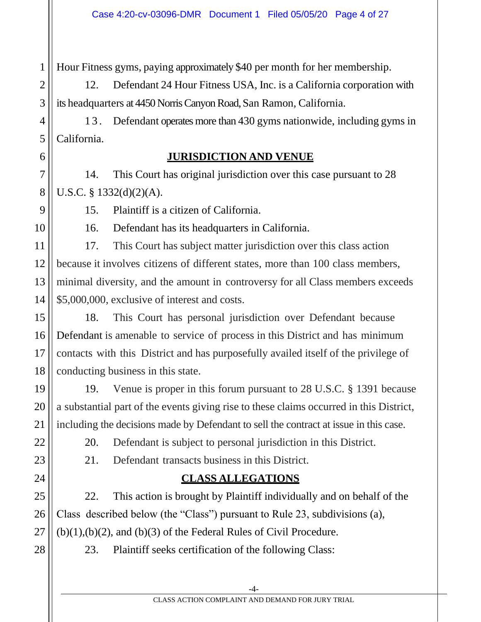Hour Fitness gyms, paying approximately \$40 per month for her membership.

12. Defendant 24 Hour Fitness USA, Inc. is a California corporation with its headquarters at 4450 Norris Canyon Road, San Ramon, California.

1 3 . Defendant operates more than 430 gyms nationwide, including gyms in California.

#### **JURISDICTION AND VENUE**

7 8 14. This Court has original jurisdiction over this case pursuant to 28 U.S.C. § 1332(d)(2)(A).

15. Plaintiff is a citizen of California.

1

2

3

4

5

6

9

10

11

12

13

14

15

16

17

18

19

20

21

22

23

24

25

26

27

28

16. Defendant has its headquarters in California.

17. This Court has subject matter jurisdiction over this class action because it involves citizens of different states, more than 100 class members, minimal diversity, and the amount in controversy for all Class members exceeds \$5,000,000, exclusive of interest and costs.

18. This Court has personal jurisdiction over Defendant because Defendant is amenable to service of process in this District and has minimum contacts with this District and has purposefully availed itself of the privilege of conducting business in this state.

19. Venue is proper in this forum pursuant to 28 U.S.C. § 1391 because a substantial part of the events giving rise to these claims occurred in this District, including the decisions made by Defendant to sell the contract at issue in this case.

20. Defendant is subject to personal jurisdiction in this District.

21. Defendant transacts business in this District.

# **CLASS ALLEGATIONS**

22. This action is brought by Plaintiff individually and on behalf of the Class described below (the "Class") pursuant to Rule 23, subdivisions (a),  $(b)(1),(b)(2)$ , and  $(b)(3)$  of the Federal Rules of Civil Procedure.

23. Plaintiff seeks certification of the following Class: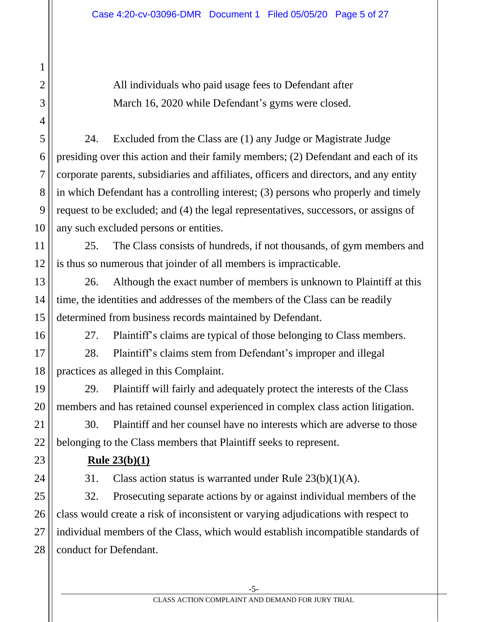All individuals who paid usage fees to Defendant after March 16, 2020 while Defendant's gyms were closed.

24. Excluded from the Class are (1) any Judge or Magistrate Judge presiding over this action and their family members; (2) Defendant and each of its corporate parents, subsidiaries and affiliates, officers and directors, and any entity in which Defendant has a controlling interest; (3) persons who properly and timely request to be excluded; and (4) the legal representatives, successors, or assigns of any such excluded persons or entities.

25. The Class consists of hundreds, if not thousands, of gym members and is thus so numerous that joinder of all members is impracticable.

26. Although the exact number of members is unknown to Plaintiff at this time, the identities and addresses of the members of the Class can be readily determined from business records maintained by Defendant.

1

2

3

4

5

6

7

8

9

10

11

12

13

14

15

16

17

18

19

20

21

22

23

24

25

26

27

28

27. Plaintiff's claims are typical of those belonging to Class members.

28. Plaintiff's claims stem from Defendant's improper and illegal practices as alleged in this Complaint.

29. Plaintiff will fairly and adequately protect the interests of the Class members and has retained counsel experienced in complex class action litigation.

30. Plaintiff and her counsel have no interests which are adverse to those belonging to the Class members that Plaintiff seeks to represent.

**Rule 23(b)(1)**

31. Class action status is warranted under Rule 23(b)(1)(A).

32. Prosecuting separate actions by or against individual members of the class would create a risk of inconsistent or varying adjudications with respect to individual members of the Class, which would establish incompatible standards of conduct for Defendant.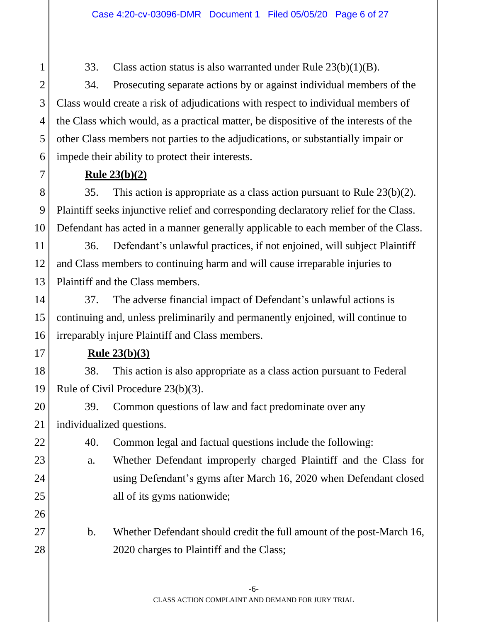33. Class action status is also warranted under Rule 23(b)(1)(B).

34. Prosecuting separate actions by or against individual members of the Class would create a risk of adjudications with respect to individual members of the Class which would, as a practical matter, be dispositive of the interests of the other Class members not parties to the adjudications, or substantially impair or impede their ability to protect their interests.

#### **Rule 23(b)(2)**

35. This action is appropriate as a class action pursuant to Rule 23(b)(2). Plaintiff seeks injunctive relief and corresponding declaratory relief for the Class. Defendant has acted in a manner generally applicable to each member of the Class.

36. Defendant's unlawful practices, if not enjoined, will subject Plaintiff and Class members to continuing harm and will cause irreparable injuries to Plaintiff and the Class members.

37. The adverse financial impact of Defendant's unlawful actions is continuing and, unless preliminarily and permanently enjoined, will continue to irreparably injure Plaintiff and Class members.

#### **Rule 23(b)(3)**

38. This action is also appropriate as a class action pursuant to Federal Rule of Civil Procedure 23(b)(3).

39. Common questions of law and fact predominate over any individualized questions.

40. Common legal and factual questions include the following:

a. Whether Defendant improperly charged Plaintiff and the Class for using Defendant's gyms after March 16, 2020 when Defendant closed all of its gyms nationwide;

b. Whether Defendant should credit the full amount of the post-March 16, 2020 charges to Plaintiff and the Class;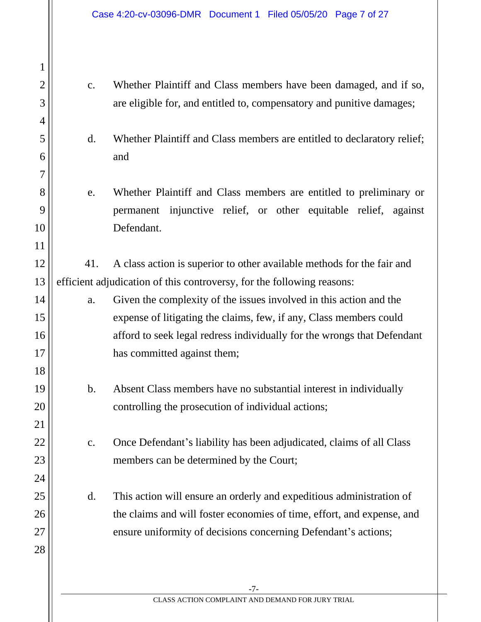1 2 3 4 5 6 7 8 9 10 11 12 13 14 15 16 17 18 19 20 21 22 23 24 25 26 27 28 c. Whether Plaintiff and Class members have been damaged, and if so, are eligible for, and entitled to, compensatory and punitive damages; d. Whether Plaintiff and Class members are entitled to declaratory relief; and e. Whether Plaintiff and Class members are entitled to preliminary or permanent injunctive relief, or other equitable relief, against Defendant. 41. A class action is superior to other available methods for the fair and efficient adjudication of this controversy, for the following reasons: a. Given the complexity of the issues involved in this action and the expense of litigating the claims, few, if any, Class members could afford to seek legal redress individually for the wrongs that Defendant has committed against them; b. Absent Class members have no substantial interest in individually controlling the prosecution of individual actions; c. Once Defendant's liability has been adjudicated, claims of all Class members can be determined by the Court; d. This action will ensure an orderly and expeditious administration of the claims and will foster economies of time, effort, and expense, and ensure uniformity of decisions concerning Defendant's actions;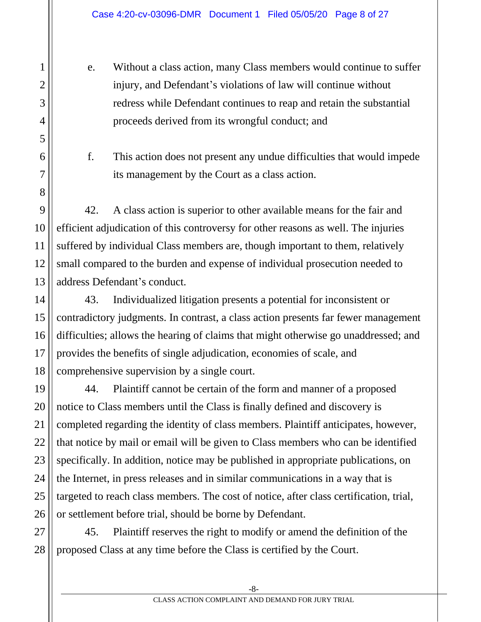e. Without a class action, many Class members would continue to suffer injury, and Defendant's violations of law will continue without redress while Defendant continues to reap and retain the substantial proceeds derived from its wrongful conduct; and

f. This action does not present any undue difficulties that would impede its management by the Court as a class action.

42. A class action is superior to other available means for the fair and efficient adjudication of this controversy for other reasons as well. The injuries suffered by individual Class members are, though important to them, relatively small compared to the burden and expense of individual prosecution needed to address Defendant's conduct.

43. Individualized litigation presents a potential for inconsistent or contradictory judgments. In contrast, a class action presents far fewer management difficulties; allows the hearing of claims that might otherwise go unaddressed; and provides the benefits of single adjudication, economies of scale, and comprehensive supervision by a single court.

44. Plaintiff cannot be certain of the form and manner of a proposed notice to Class members until the Class is finally defined and discovery is completed regarding the identity of class members. Plaintiff anticipates, however, that notice by mail or email will be given to Class members who can be identified specifically. In addition, notice may be published in appropriate publications, on the Internet, in press releases and in similar communications in a way that is targeted to reach class members. The cost of notice, after class certification, trial, or settlement before trial, should be borne by Defendant.

45. Plaintiff reserves the right to modify or amend the definition of the proposed Class at any time before the Class is certified by the Court.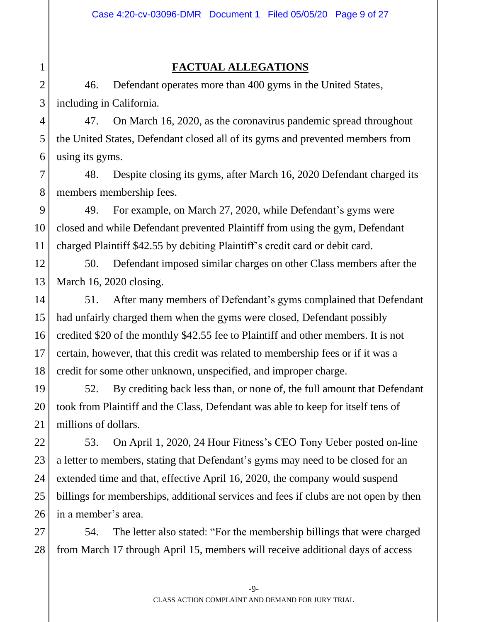### **FACTUAL ALLEGATIONS**

46. Defendant operates more than 400 gyms in the United States, including in California.

47. On March 16, 2020, as the coronavirus pandemic spread throughout the United States, Defendant closed all of its gyms and prevented members from using its gyms.

48. Despite closing its gyms, after March 16, 2020 Defendant charged its members membership fees.

49. For example, on March 27, 2020, while Defendant's gyms were closed and while Defendant prevented Plaintiff from using the gym, Defendant charged Plaintiff \$42.55 by debiting Plaintiff's credit card or debit card.

50. Defendant imposed similar charges on other Class members after the March 16, 2020 closing.

51. After many members of Defendant's gyms complained that Defendant had unfairly charged them when the gyms were closed, Defendant possibly credited \$20 of the monthly \$42.55 fee to Plaintiff and other members. It is not certain, however, that this credit was related to membership fees or if it was a credit for some other unknown, unspecified, and improper charge.

52. By crediting back less than, or none of, the full amount that Defendant took from Plaintiff and the Class, Defendant was able to keep for itself tens of millions of dollars.

53. On April 1, 2020, 24 Hour Fitness's CEO Tony Ueber posted on-line a letter to members, stating that Defendant's gyms may need to be closed for an extended time and that, effective April 16, 2020, the company would suspend billings for memberships, additional services and fees if clubs are not open by then in a member's area.

27 28 54. The letter also stated: "For the membership billings that were charged from March 17 through April 15, members will receive additional days of access

1

2

3

4

5

6

7

8

9

10

11

12

13

14

15

16

17

18

19

20

21

22

23

24

25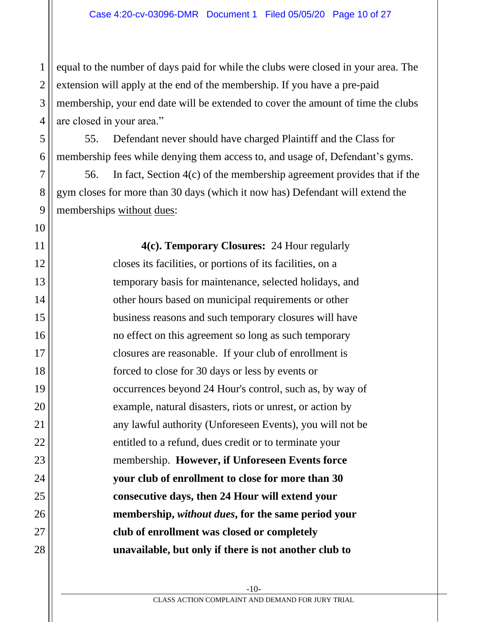equal to the number of days paid for while the clubs were closed in your area. The extension will apply at the end of the membership. If you have a pre-paid membership, your end date will be extended to cover the amount of time the clubs are closed in your area."

55. Defendant never should have charged Plaintiff and the Class for membership fees while denying them access to, and usage of, Defendant's gyms.

56. In fact, Section 4(c) of the membership agreement provides that if the gym closes for more than 30 days (which it now has) Defendant will extend the memberships without dues:

> **4(c). Temporary Closures:** 24 Hour regularly closes its facilities, or portions of its facilities, on a temporary basis for maintenance, selected holidays, and other hours based on municipal requirements or other business reasons and such temporary closures will have no effect on this agreement so long as such temporary closures are reasonable. If your club of enrollment is forced to close for 30 days or less by events or occurrences beyond 24 Hour's control, such as, by way of example, natural disasters, riots or unrest, or action by any lawful authority (Unforeseen Events), you will not be entitled to a refund, dues credit or to terminate your membership. **However, if Unforeseen Events force your club of enrollment to close for more than 30 consecutive days, then 24 Hour will extend your membership,** *without dues***, for the same period your club of enrollment was closed or completely unavailable, but only if there is not another club to**

1

2

3

4

5

6

7

8

9

10

11

12

13

14

15

16

17

18

19

20

21

22

23

24

25

26

27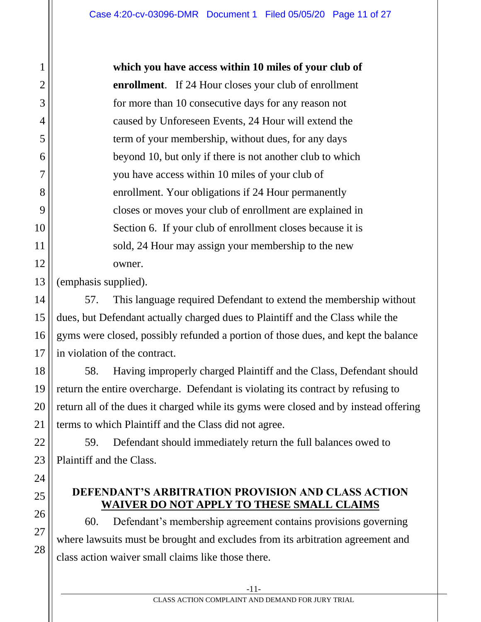**which you have access within 10 miles of your club of enrollment**. If 24 Hour closes your club of enrollment for more than 10 consecutive days for any reason not caused by Unforeseen Events, 24 Hour will extend the term of your membership, without dues, for any days beyond 10, but only if there is not another club to which you have access within 10 miles of your club of enrollment. Your obligations if 24 Hour permanently closes or moves your club of enrollment are explained in Section 6. If your club of enrollment closes because it is sold, 24 Hour may assign your membership to the new owner.

(emphasis supplied).

57. This language required Defendant to extend the membership without dues, but Defendant actually charged dues to Plaintiff and the Class while the gyms were closed, possibly refunded a portion of those dues, and kept the balance in violation of the contract.

58. Having improperly charged Plaintiff and the Class, Defendant should return the entire overcharge. Defendant is violating its contract by refusing to return all of the dues it charged while its gyms were closed and by instead offering terms to which Plaintiff and the Class did not agree.

59. Defendant should immediately return the full balances owed to Plaintiff and the Class.

#### **DEFENDANT'S ARBITRATION PROVISION AND CLASS ACTION WAIVER DO NOT APPLY TO THESE SMALL CLAIMS**

60. Defendant's membership agreement contains provisions governing where lawsuits must be brought and excludes from its arbitration agreement and class action waiver small claims like those there.

1

2

3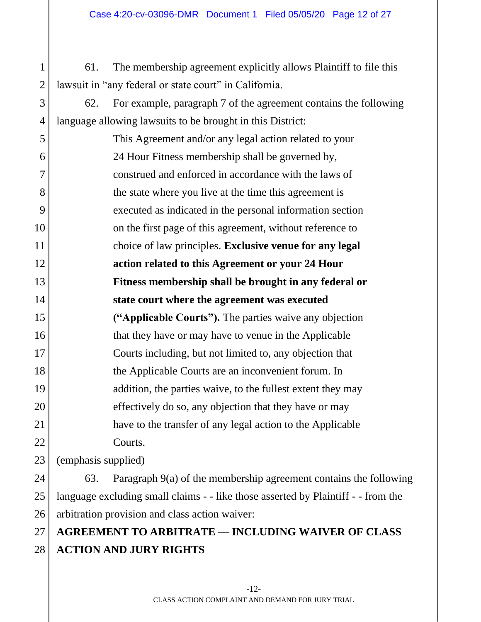61. The membership agreement explicitly allows Plaintiff to file this lawsuit in "any federal or state court" in California.

62. For example, paragraph 7 of the agreement contains the following language allowing lawsuits to be brought in this District:

5 6 7 8 9 10 11 12 13 14 15 16 17 18 19 20 21 22 This Agreement and/or any legal action related to your 24 Hour Fitness membership shall be governed by, construed and enforced in accordance with the laws of the state where you live at the time this agreement is executed as indicated in the personal information section on the first page of this agreement, without reference to choice of law principles. **Exclusive venue for any legal action related to this Agreement or your 24 Hour Fitness membership shall be brought in any federal or state court where the agreement was executed ("Applicable Courts").** The parties waive any objection that they have or may have to venue in the Applicable Courts including, but not limited to, any objection that the Applicable Courts are an inconvenient forum. In addition, the parties waive, to the fullest extent they may effectively do so, any objection that they have or may have to the transfer of any legal action to the Applicable Courts.

(emphasis supplied)

23

1

2

3

4

24 25 26 63. Paragraph 9(a) of the membership agreement contains the following language excluding small claims - - like those asserted by Plaintiff - - from the arbitration provision and class action waiver:

#### 27 28 **AGREEMENT TO ARBITRATE — INCLUDING WAIVER OF CLASS ACTION AND JURY RIGHTS**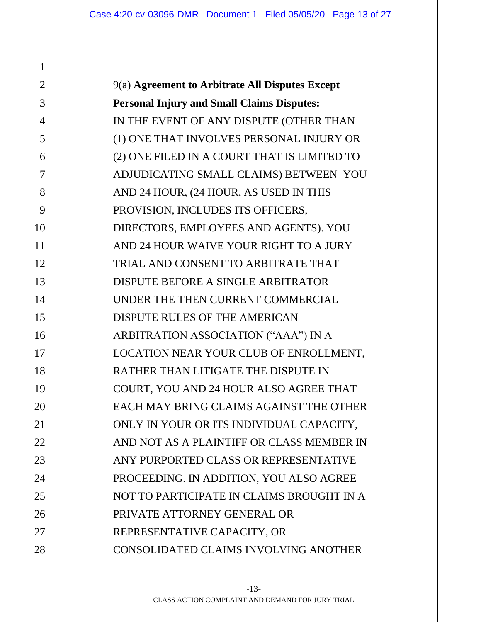9(a) **Agreement to Arbitrate All Disputes Except Personal Injury and Small Claims Disputes:** IN THE EVENT OF ANY DISPUTE (OTHER THAN (1) ONE THAT INVOLVES PERSONAL INJURY OR (2) ONE FILED IN A COURT THAT IS LIMITED TO ADJUDICATING SMALL CLAIMS) BETWEEN YOU AND 24 HOUR, (24 HOUR, AS USED IN THIS PROVISION, INCLUDES ITS OFFICERS, DIRECTORS, EMPLOYEES AND AGENTS). YOU AND 24 HOUR WAIVE YOUR RIGHT TO A JURY TRIAL AND CONSENT TO ARBITRATE THAT DISPUTE BEFORE A SINGLE ARBITRATOR UNDER THE THEN CURRENT COMMERCIAL DISPUTE RULES OF THE AMERICAN ARBITRATION ASSOCIATION ("AAA") IN A LOCATION NEAR YOUR CLUB OF ENROLLMENT, RATHER THAN LITIGATE THE DISPUTE IN COURT, YOU AND 24 HOUR ALSO AGREE THAT EACH MAY BRING CLAIMS AGAINST THE OTHER ONLY IN YOUR OR ITS INDIVIDUAL CAPACITY, AND NOT AS A PLAINTIFF OR CLASS MEMBER IN ANY PURPORTED CLASS OR REPRESENTATIVE PROCEEDING. IN ADDITION, YOU ALSO AGREE NOT TO PARTICIPATE IN CLAIMS BROUGHT IN A PRIVATE ATTORNEY GENERAL OR REPRESENTATIVE CAPACITY, OR CONSOLIDATED CLAIMS INVOLVING ANOTHER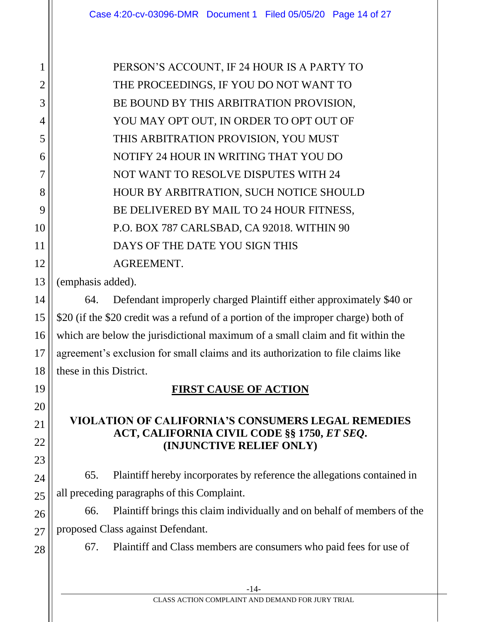PERSON'S ACCOUNT, IF 24 HOUR IS A PARTY TO THE PROCEEDINGS, IF YOU DO NOT WANT TO BE BOUND BY THIS ARBITRATION PROVISION, YOU MAY OPT OUT, IN ORDER TO OPT OUT OF THIS ARBITRATION PROVISION, YOU MUST NOTIFY 24 HOUR IN WRITING THAT YOU DO NOT WANT TO RESOLVE DISPUTES WITH 24 HOUR BY ARBITRATION, SUCH NOTICE SHOULD BE DELIVERED BY MAIL TO 24 HOUR FITNESS, P.O. BOX 787 CARLSBAD, CA 92018. WITHIN 90 DAYS OF THE DATE YOU SIGN THIS AGREEMENT.

(emphasis added).

1

2

3

4

5

6

7

8

9

10

11

12

13

14

15

16

17

18

19

20

21

22

23

24

25

26

27

28

64. Defendant improperly charged Plaintiff either approximately \$40 or \$20 (if the \$20 credit was a refund of a portion of the improper charge) both of which are below the jurisdictional maximum of a small claim and fit within the agreement's exclusion for small claims and its authorization to file claims like these in this District.

## **FIRST CAUSE OF ACTION**

#### **VIOLATION OF CALIFORNIA'S CONSUMERS LEGAL REMEDIES ACT, CALIFORNIA CIVIL CODE §§ 1750,** *ET SEQ***. (INJUNCTIVE RELIEF ONLY)**

65. Plaintiff hereby incorporates by reference the allegations contained in all preceding paragraphs of this Complaint.

66. Plaintiff brings this claim individually and on behalf of members of the proposed Class against Defendant.

67. Plaintiff and Class members are consumers who paid fees for use of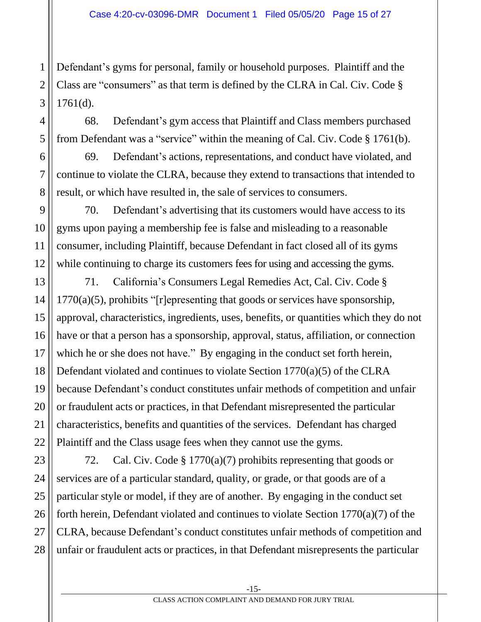Defendant's gyms for personal, family or household purposes. Plaintiff and the Class are "consumers" as that term is defined by the CLRA in Cal. Civ. Code § 1761(d).

68. Defendant's gym access that Plaintiff and Class members purchased from Defendant was a "service" within the meaning of Cal. Civ. Code § 1761(b).

69. Defendant's actions, representations, and conduct have violated, and continue to violate the CLRA, because they extend to transactions that intended to result, or which have resulted in, the sale of services to consumers.

70. Defendant's advertising that its customers would have access to its gyms upon paying a membership fee is false and misleading to a reasonable consumer, including Plaintiff, because Defendant in fact closed all of its gyms while continuing to charge its customers fees for using and accessing the gyms.

71. California's Consumers Legal Remedies Act, Cal. Civ. Code §  $1770(a)(5)$ , prohibits "[r]epresenting that goods or services have sponsorship, approval, characteristics, ingredients, uses, benefits, or quantities which they do not have or that a person has a sponsorship, approval, status, affiliation, or connection which he or she does not have." By engaging in the conduct set forth herein, Defendant violated and continues to violate Section 1770(a)(5) of the CLRA because Defendant's conduct constitutes unfair methods of competition and unfair or fraudulent acts or practices, in that Defendant misrepresented the particular characteristics, benefits and quantities of the services. Defendant has charged Plaintiff and the Class usage fees when they cannot use the gyms.

72. Cal. Civ. Code § 1770(a)(7) prohibits representing that goods or services are of a particular standard, quality, or grade, or that goods are of a particular style or model, if they are of another. By engaging in the conduct set forth herein, Defendant violated and continues to violate Section 1770(a)(7) of the CLRA, because Defendant's conduct constitutes unfair methods of competition and unfair or fraudulent acts or practices, in that Defendant misrepresents the particular

1

2

3

4

5

6

7

8

9

10

11

12

13

14

15

16

17

18

19

20

21

22

23

24

25

26

27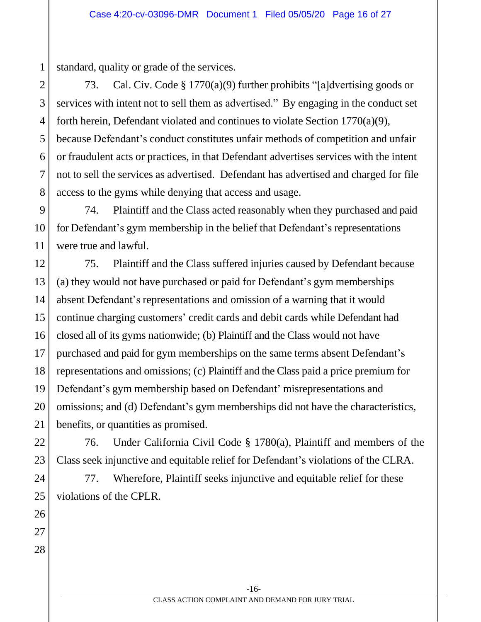standard, quality or grade of the services.

73. Cal. Civ. Code § 1770(a)(9) further prohibits "[a]dvertising goods or services with intent not to sell them as advertised." By engaging in the conduct set forth herein, Defendant violated and continues to violate Section 1770(a)(9), because Defendant's conduct constitutes unfair methods of competition and unfair or fraudulent acts or practices, in that Defendant advertises services with the intent not to sell the services as advertised. Defendant has advertised and charged for file access to the gyms while denying that access and usage.

74. Plaintiff and the Class acted reasonably when they purchased and paid for Defendant's gym membership in the belief that Defendant's representations were true and lawful.

75. Plaintiff and the Class suffered injuries caused by Defendant because (a) they would not have purchased or paid for Defendant's gym memberships absent Defendant's representations and omission of a warning that it would continue charging customers' credit cards and debit cards while Defendant had closed all of its gyms nationwide; (b) Plaintiff and the Class would not have purchased and paid for gym memberships on the same terms absent Defendant's representations and omissions; (c) Plaintiff and the Class paid a price premium for Defendant's gym membership based on Defendant' misrepresentations and omissions; and (d) Defendant's gym memberships did not have the characteristics, benefits, or quantities as promised.

76. Under California Civil Code § 1780(a), Plaintiff and members of the Class seek injunctive and equitable relief for Defendant's violations of the CLRA.

77. Wherefore, Plaintiff seeks injunctive and equitable relief for these violations of the CPLR.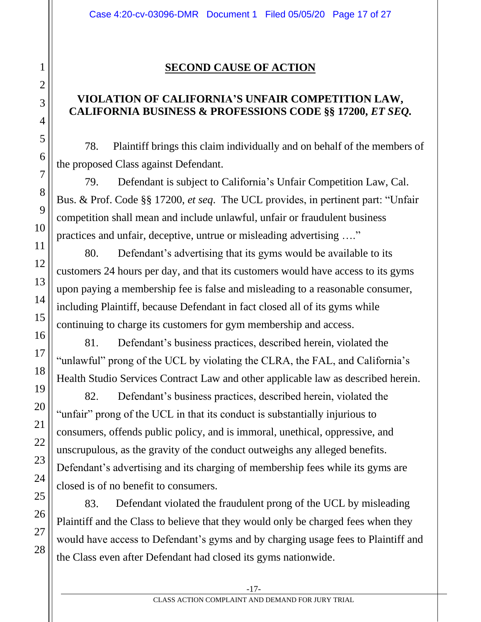## **SECOND CAUSE OF ACTION**

## **VIOLATION OF CALIFORNIA'S UNFAIR COMPETITION LAW, CALIFORNIA BUSINESS & PROFESSIONS CODE §§ 17200,** *ET SEQ.*

78. Plaintiff brings this claim individually and on behalf of the members of the proposed Class against Defendant.

79. Defendant is subject to California's Unfair Competition Law, Cal. Bus. & Prof. Code §§ 17200, *et seq*. The UCL provides, in pertinent part: "Unfair competition shall mean and include unlawful, unfair or fraudulent business practices and unfair, deceptive, untrue or misleading advertising …."

80. Defendant's advertising that its gyms would be available to its customers 24 hours per day, and that its customers would have access to its gyms upon paying a membership fee is false and misleading to a reasonable consumer, including Plaintiff, because Defendant in fact closed all of its gyms while continuing to charge its customers for gym membership and access.

81. Defendant's business practices, described herein, violated the "unlawful" prong of the UCL by violating the CLRA, the FAL, and California's Health Studio Services Contract Law and other applicable law as described herein.

82. Defendant's business practices, described herein, violated the "unfair" prong of the UCL in that its conduct is substantially injurious to consumers, offends public policy, and is immoral, unethical, oppressive, and unscrupulous, as the gravity of the conduct outweighs any alleged benefits. Defendant's advertising and its charging of membership fees while its gyms are closed is of no benefit to consumers.

83. Defendant violated the fraudulent prong of the UCL by misleading Plaintiff and the Class to believe that they would only be charged fees when they would have access to Defendant's gyms and by charging usage fees to Plaintiff and the Class even after Defendant had closed its gyms nationwide.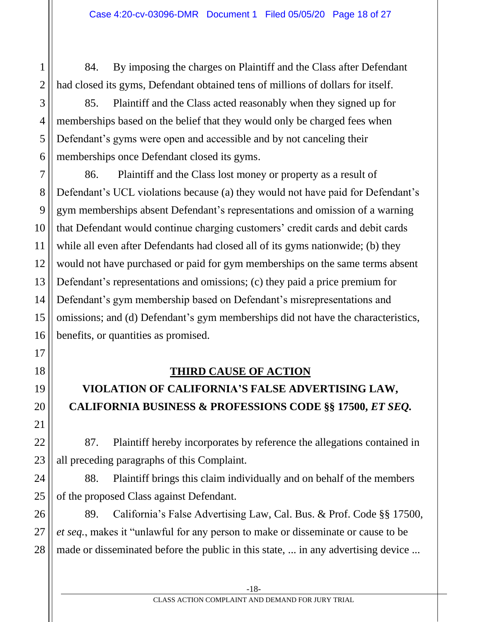84. By imposing the charges on Plaintiff and the Class after Defendant had closed its gyms, Defendant obtained tens of millions of dollars for itself.

85. Plaintiff and the Class acted reasonably when they signed up for memberships based on the belief that they would only be charged fees when Defendant's gyms were open and accessible and by not canceling their memberships once Defendant closed its gyms.

86. Plaintiff and the Class lost money or property as a result of Defendant's UCL violations because (a) they would not have paid for Defendant's gym memberships absent Defendant's representations and omission of a warning that Defendant would continue charging customers' credit cards and debit cards while all even after Defendants had closed all of its gyms nationwide; (b) they would not have purchased or paid for gym memberships on the same terms absent Defendant's representations and omissions; (c) they paid a price premium for Defendant's gym membership based on Defendant's misrepresentations and omissions; and (d) Defendant's gym memberships did not have the characteristics, benefits, or quantities as promised.

## **THIRD CAUSE OF ACTION**

# **VIOLATION OF CALIFORNIA'S FALSE ADVERTISING LAW, CALIFORNIA BUSINESS & PROFESSIONS CODE §§ 17500,** *ET SEQ.*

87. Plaintiff hereby incorporates by reference the allegations contained in all preceding paragraphs of this Complaint.

88. Plaintiff brings this claim individually and on behalf of the members of the proposed Class against Defendant.

89. California's False Advertising Law, Cal. Bus. & Prof. Code §§ 17500, *et seq.*, makes it "unlawful for any person to make or disseminate or cause to be made or disseminated before the public in this state, ... in any advertising device ...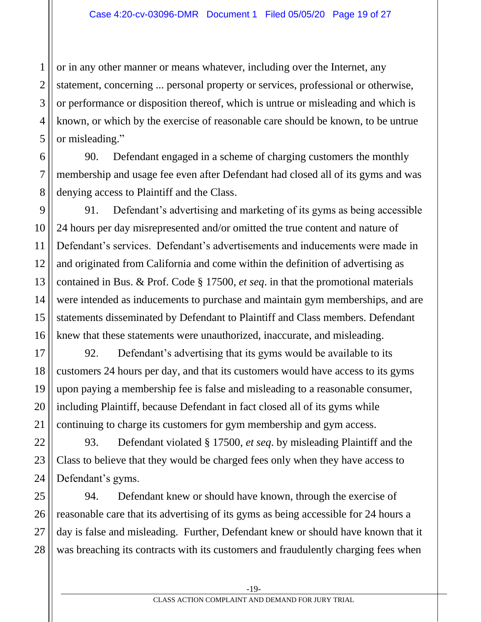or in any other manner or means whatever, including over the Internet, any statement, concerning ... personal property or services, professional or otherwise, or performance or disposition thereof, which is untrue or misleading and which is known, or which by the exercise of reasonable care should be known, to be untrue or misleading."

90. Defendant engaged in a scheme of charging customers the monthly membership and usage fee even after Defendant had closed all of its gyms and was denying access to Plaintiff and the Class.

91. Defendant's advertising and marketing of its gyms as being accessible 24 hours per day misrepresented and/or omitted the true content and nature of Defendant's services. Defendant's advertisements and inducements were made in and originated from California and come within the definition of advertising as contained in Bus. & Prof. Code § 17500, *et seq*. in that the promotional materials were intended as inducements to purchase and maintain gym memberships, and are statements disseminated by Defendant to Plaintiff and Class members. Defendant knew that these statements were unauthorized, inaccurate, and misleading.

92. Defendant's advertising that its gyms would be available to its customers 24 hours per day, and that its customers would have access to its gyms upon paying a membership fee is false and misleading to a reasonable consumer, including Plaintiff, because Defendant in fact closed all of its gyms while continuing to charge its customers for gym membership and gym access.

93. Defendant violated § 17500, *et seq*. by misleading Plaintiff and the Class to believe that they would be charged fees only when they have access to Defendant's gyms.

94. Defendant knew or should have known, through the exercise of reasonable care that its advertising of its gyms as being accessible for 24 hours a day is false and misleading. Further, Defendant knew or should have known that it was breaching its contracts with its customers and fraudulently charging fees when

1

2

-19-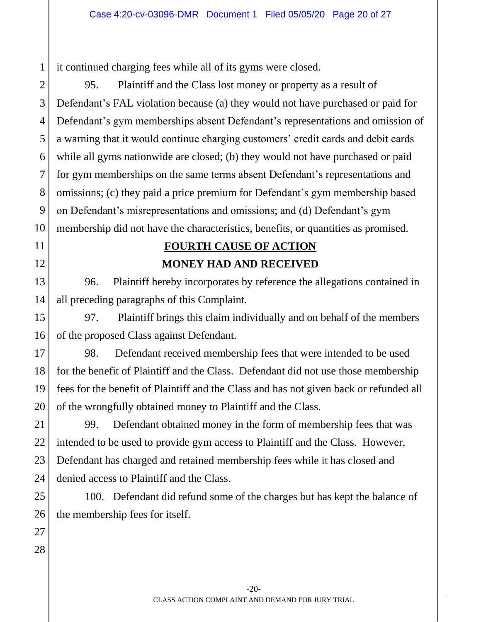it continued charging fees while all of its gyms were closed.

95. Plaintiff and the Class lost money or property as a result of Defendant's FAL violation because (a) they would not have purchased or paid for Defendant's gym memberships absent Defendant's representations and omission of a warning that it would continue charging customers' credit cards and debit cards while all gyms nationwide are closed; (b) they would not have purchased or paid for gym memberships on the same terms absent Defendant's representations and omissions; (c) they paid a price premium for Defendant's gym membership based on Defendant's misrepresentations and omissions; and (d) Defendant's gym membership did not have the characteristics, benefits, or quantities as promised.

# **FOURTH CAUSE OF ACTION MONEY HAD AND RECEIVED**

96. Plaintiff hereby incorporates by reference the allegations contained in all preceding paragraphs of this Complaint.

97. Plaintiff brings this claim individually and on behalf of the members of the proposed Class against Defendant.

98. Defendant received membership fees that were intended to be used for the benefit of Plaintiff and the Class. Defendant did not use those membership fees for the benefit of Plaintiff and the Class and has not given back or refunded all of the wrongfully obtained money to Plaintiff and the Class.

99. Defendant obtained money in the form of membership fees that was intended to be used to provide gym access to Plaintiff and the Class. However, Defendant has charged and retained membership fees while it has closed and denied access to Plaintiff and the Class.

100. Defendant did refund some of the charges but has kept the balance of the membership fees for itself.

1

2

3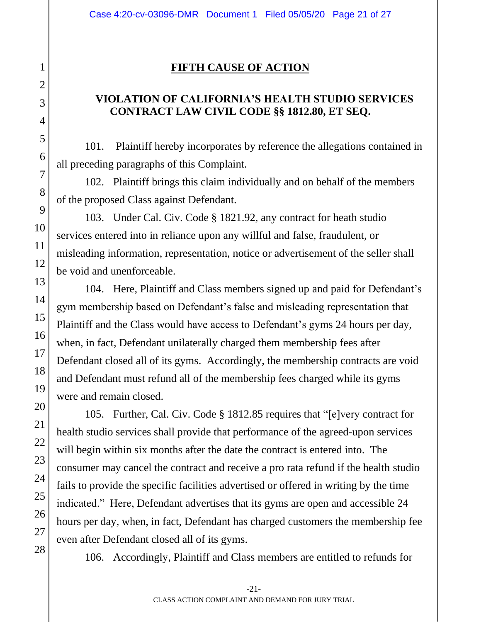### **FIFTH CAUSE OF ACTION**

## **VIOLATION OF CALIFORNIA'S HEALTH STUDIO SERVICES CONTRACT LAW CIVIL CODE §§ 1812.80, ET SEQ.**

101. Plaintiff hereby incorporates by reference the allegations contained in all preceding paragraphs of this Complaint.

102. Plaintiff brings this claim individually and on behalf of the members of the proposed Class against Defendant.

103. Under Cal. Civ. Code § 1821.92, any contract for heath studio services entered into in reliance upon any willful and false, fraudulent, or misleading information, representation, notice or advertisement of the seller shall be void and unenforceable.

104. Here, Plaintiff and Class members signed up and paid for Defendant's gym membership based on Defendant's false and misleading representation that Plaintiff and the Class would have access to Defendant's gyms 24 hours per day, when, in fact, Defendant unilaterally charged them membership fees after Defendant closed all of its gyms. Accordingly, the membership contracts are void and Defendant must refund all of the membership fees charged while its gyms were and remain closed.

105. Further, Cal. Civ. Code § 1812.85 requires that "[e]very contract for health studio services shall provide that performance of the agreed-upon services will begin within six months after the date the contract is entered into. The consumer may cancel the contract and receive a pro rata refund if the health studio fails to provide the specific facilities advertised or offered in writing by the time indicated." Here, Defendant advertises that its gyms are open and accessible 24 hours per day, when, in fact, Defendant has charged customers the membership fee even after Defendant closed all of its gyms.

106. Accordingly, Plaintiff and Class members are entitled to refunds for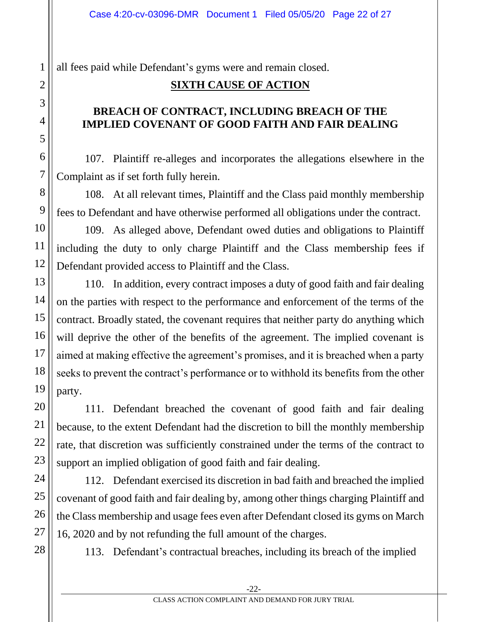all fees paid while Defendant's gyms were and remain closed.

## **SIXTH CAUSE OF ACTION**

### **BREACH OF CONTRACT, INCLUDING BREACH OF THE IMPLIED COVENANT OF GOOD FAITH AND FAIR DEALING**

107. Plaintiff re-alleges and incorporates the allegations elsewhere in the Complaint as if set forth fully herein.

108. At all relevant times, Plaintiff and the Class paid monthly membership fees to Defendant and have otherwise performed all obligations under the contract.

109. As alleged above, Defendant owed duties and obligations to Plaintiff including the duty to only charge Plaintiff and the Class membership fees if Defendant provided access to Plaintiff and the Class.

110. In addition, every contract imposes a duty of good faith and fair dealing on the parties with respect to the performance and enforcement of the terms of the contract. Broadly stated, the covenant requires that neither party do anything which will deprive the other of the benefits of the agreement. The implied covenant is aimed at making effective the agreement's promises, and it is breached when a party seeks to prevent the contract's performance or to withhold its benefits from the other party.

111. Defendant breached the covenant of good faith and fair dealing because, to the extent Defendant had the discretion to bill the monthly membership rate, that discretion was sufficiently constrained under the terms of the contract to support an implied obligation of good faith and fair dealing.

112. Defendant exercised its discretion in bad faith and breached the implied covenant of good faith and fair dealing by, among other things charging Plaintiff and the Class membership and usage fees even after Defendant closed its gyms on March 16, 2020 and by not refunding the full amount of the charges.

113. Defendant's contractual breaches, including its breach of the implied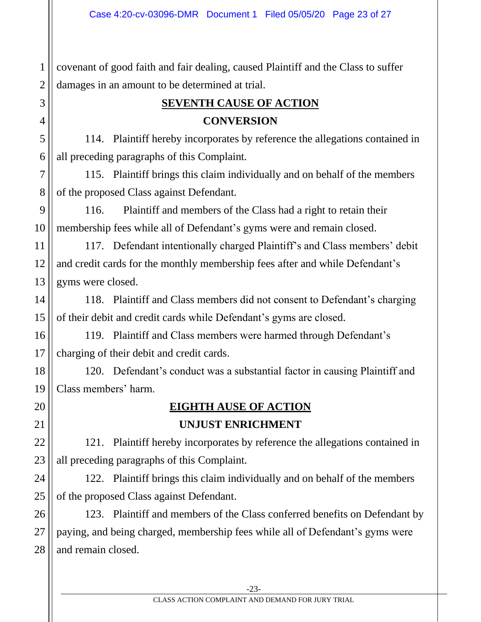1 2 covenant of good faith and fair dealing, caused Plaintiff and the Class to suffer damages in an amount to be determined at trial.

3

4

5

6

7

8

9

10

11

12

13

14

15

16

17

18

19

20

21

22

23

24

25

26

27

28

# **SEVENTH CAUSE OF ACTION CONVERSION**

 114. Plaintiff hereby incorporates by reference the allegations contained in all preceding paragraphs of this Complaint.

115. Plaintiff brings this claim individually and on behalf of the members of the proposed Class against Defendant.

116. Plaintiff and members of the Class had a right to retain their membership fees while all of Defendant's gyms were and remain closed.

117. Defendant intentionally charged Plaintiff's and Class members' debit and credit cards for the monthly membership fees after and while Defendant's gyms were closed.

118. Plaintiff and Class members did not consent to Defendant's charging of their debit and credit cards while Defendant's gyms are closed.

119. Plaintiff and Class members were harmed through Defendant's charging of their debit and credit cards.

120. Defendant's conduct was a substantial factor in causing Plaintiff and Class members' harm.

## **EIGHTH AUSE OF ACTION UNJUST ENRICHMENT**

121. Plaintiff hereby incorporates by reference the allegations contained in all preceding paragraphs of this Complaint.

122. Plaintiff brings this claim individually and on behalf of the members of the proposed Class against Defendant.

123. Plaintiff and members of the Class conferred benefits on Defendant by paying, and being charged, membership fees while all of Defendant's gyms were and remain closed.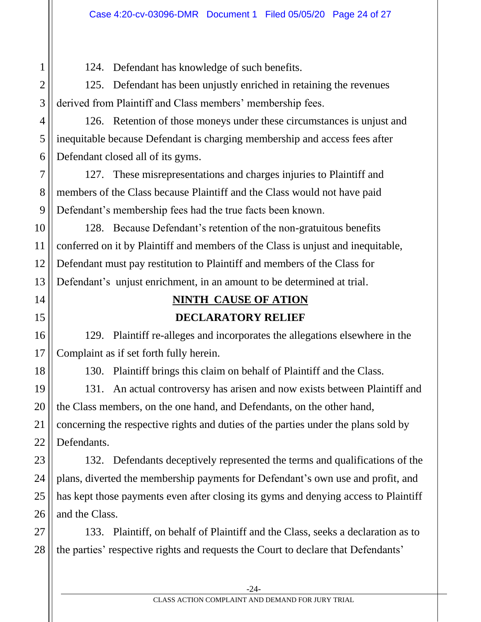124. Defendant has knowledge of such benefits.

125. Defendant has been unjustly enriched in retaining the revenues derived from Plaintiff and Class members' membership fees.

126. Retention of those moneys under these circumstances is unjust and inequitable because Defendant is charging membership and access fees after Defendant closed all of its gyms.

127. These misrepresentations and charges injuries to Plaintiff and members of the Class because Plaintiff and the Class would not have paid Defendant's membership fees had the true facts been known.

128. Because Defendant's retention of the non-gratuitous benefits conferred on it by Plaintiff and members of the Class is unjust and inequitable, Defendant must pay restitution to Plaintiff and members of the Class for Defendant's unjust enrichment, in an amount to be determined at trial.

# **NINTH CAUSE OF ATION DECLARATORY RELIEF**

129. Plaintiff re-alleges and incorporates the allegations elsewhere in the Complaint as if set forth fully herein.

130. Plaintiff brings this claim on behalf of Plaintiff and the Class.

131. An actual controversy has arisen and now exists between Plaintiff and the Class members, on the one hand, and Defendants, on the other hand, concerning the respective rights and duties of the parties under the plans sold by Defendants.

132. Defendants deceptively represented the terms and qualifications of the plans, diverted the membership payments for Defendant's own use and profit, and has kept those payments even after closing its gyms and denying access to Plaintiff and the Class.

133. Plaintiff, on behalf of Plaintiff and the Class, seeks a declaration as to the parties' respective rights and requests the Court to declare that Defendants'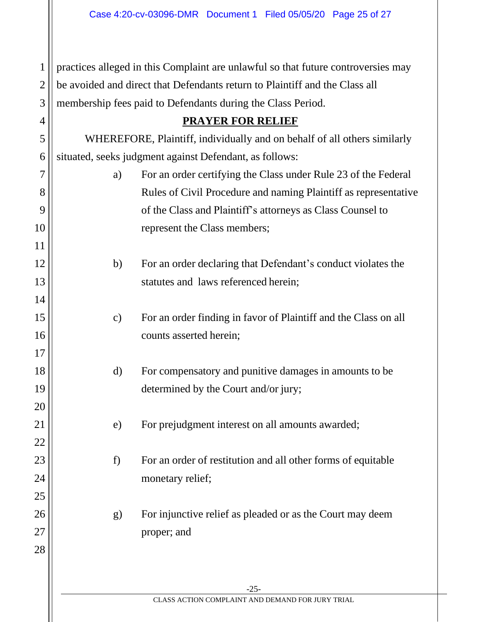practices alleged in this Complaint are unlawful so that future controversies may be avoided and direct that Defendants return to Plaintiff and the Class all membership fees paid to Defendants during the Class Period.

1

2

3

4

5

6

7

8

9

10

11

12

13

14

15

16

17

18

19

20

21

22

23

24

25

26

27

28

| <b>PRAYER FOR RELIEF</b> |  |
|--------------------------|--|
|                          |  |

WHEREFORE, Plaintiff, individually and on behalf of all others similarly situated, seeks judgment against Defendant, as follows:

- a) For an order certifying the Class under Rule 23 of the Federal Rules of Civil Procedure and naming Plaintiff as representative of the Class and Plaintiff's attorneys as Class Counsel to represent the Class members;
- b) For an order declaring that Defendant's conduct violates the statutes and laws referenced herein;
- c) For an order finding in favor of Plaintiff and the Class on all counts asserted herein;
- d) For compensatory and punitive damages in amounts to be determined by the Court and/or jury;
- e) For prejudgment interest on all amounts awarded;
- f) For an order of restitution and all other forms of equitable monetary relief;
- g) For injunctive relief as pleaded or as the Court may deem proper; and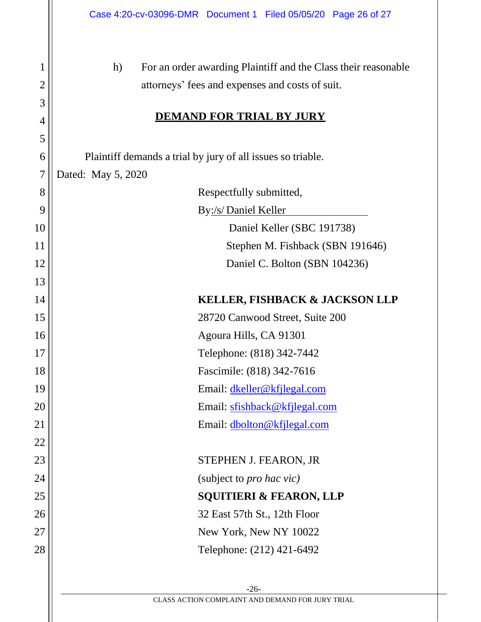| 1              | h)<br>For an order awarding Plaintiff and the Class their reasonable |
|----------------|----------------------------------------------------------------------|
| $\overline{2}$ | attorneys' fees and expenses and costs of suit.                      |
| 3              |                                                                      |
| 4              | <b>DEMAND FOR TRIAL BY JURY</b>                                      |
| 5              |                                                                      |
| 6              | Plaintiff demands a trial by jury of all issues so triable.          |
| $\overline{7}$ | Dated: May 5, 2020                                                   |
| 8              | Respectfully submitted,                                              |
| 9              | By:/s/Daniel Keller                                                  |
| 10             | Daniel Keller (SBC 191738)                                           |
| 11             | Stephen M. Fishback (SBN 191646)                                     |
| 12             | Daniel C. Bolton (SBN 104236)                                        |
| 13             |                                                                      |
| 14             | <b>KELLER, FISHBACK &amp; JACKSON LLP</b>                            |
| 15             | 28720 Canwood Street, Suite 200                                      |
| 16             | Agoura Hills, CA 91301                                               |
| 17             | Telephone: (818) 342-7442                                            |
| 18             | Fascimile: (818) 342-7616                                            |
| 19             | Email: dkeller@kfjlegal.com                                          |
| 20             | Email: sfishback@kfjlegal.com                                        |
| 21             | Email: dbolton@kfjlegal.com                                          |
| 22             |                                                                      |
| 23             | STEPHEN J. FEARON, JR                                                |
| 24             | (subject to <i>pro hac vic)</i>                                      |
| 25             | <b>SQUITIERI &amp; FEARON, LLP</b>                                   |
| 26             | 32 East 57th St., 12th Floor                                         |
| 27             | New York, New NY 10022                                               |
| 28             | Telephone: (212) 421-6492                                            |
|                |                                                                      |
|                |                                                                      |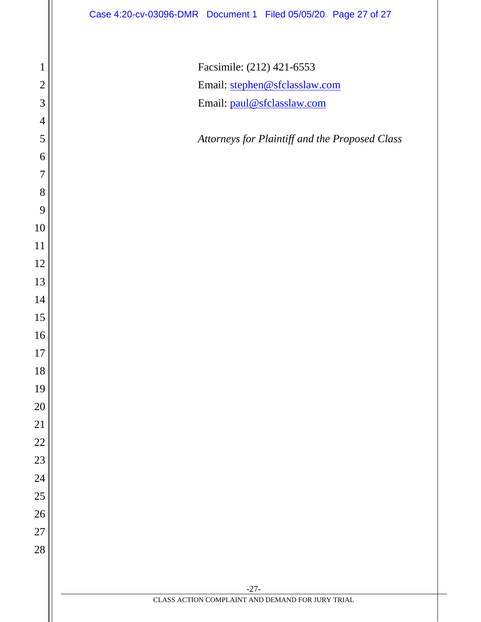| $\mathbf{1}$   | Facsimile: (212) 421-6553                                  |
|----------------|------------------------------------------------------------|
| $\mathbf{2}$   | Email: stephen@sfclasslaw.com                              |
| 3              | Email: paul@sfclasslaw.com                                 |
| $\overline{4}$ |                                                            |
| 5              | Attorneys for Plaintiff and the Proposed Class             |
| 6              |                                                            |
| $\overline{7}$ |                                                            |
| 8              |                                                            |
| 9              |                                                            |
| 10             |                                                            |
| 11             |                                                            |
| 12             |                                                            |
| 13             |                                                            |
| 14             |                                                            |
| 15             |                                                            |
| 16             |                                                            |
| $17\,$         |                                                            |
| 18             |                                                            |
| 19             |                                                            |
| 20             |                                                            |
| 21             |                                                            |
| 22             |                                                            |
| 23             |                                                            |
| 24             |                                                            |
| $25\,$         |                                                            |
| 26             |                                                            |
| $27\,$         |                                                            |
| 28             |                                                            |
|                |                                                            |
|                | $-27-$<br>CLASS ACTION COMPLAINT AND DEMAND FOR JURY TRIAL |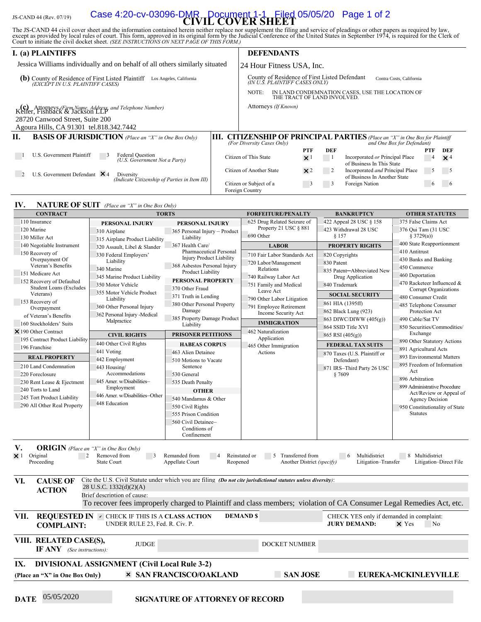# JS-CAND 44 (Rev. 07/19) **CIVIL COVER SHEET** Case 4:20-cv-03096-DMR Document 1-1 Filed 05/05/20 Page 1 of 2

The JS-CAND 44 civil cover sheet and the information contained herein neither replace nor supplement the filing and service of pleadings or other papers as required by law, except as provided by local rules of court. This

| I. (a) PLAINTIFFS                                                                                                   |     |                                                                                                             | <b>DEFENDANTS</b>           |            |     |                                                                                                              |          |            |
|---------------------------------------------------------------------------------------------------------------------|-----|-------------------------------------------------------------------------------------------------------------|-----------------------------|------------|-----|--------------------------------------------------------------------------------------------------------------|----------|------------|
| Jessica Williams individually and on behalf of all others similarly situated                                        |     |                                                                                                             | 24 Hour Fitness USA, Inc.   |            |     |                                                                                                              |          |            |
| County of Residence of First Listed Plaintiff<br>(b)<br>Los Angeles, California<br>(EXCEPT IN U.S. PLAINTIFF CASES) |     | County of Residence of First Listed Defendant<br>Contra Costs, California<br>(IN U.Š. PLAINTIFF CASES ONLY) |                             |            |     |                                                                                                              |          |            |
|                                                                                                                     |     | NOTE:                                                                                                       | THE TRACT OF LAND INVOLVED. |            |     | IN LAND CONDEMNATION CASES, USE THE LOCATION OF                                                              |          |            |
| Keller, Hishback & Jackson LLP and Telephone Number)                                                                |     | Attorneys (If Known)                                                                                        |                             |            |     |                                                                                                              |          |            |
| 28720 Canwood Street, Suite 200                                                                                     |     |                                                                                                             |                             |            |     |                                                                                                              |          |            |
| Agoura Hills, CA 91301 tel.818.342.7442                                                                             |     |                                                                                                             |                             |            |     |                                                                                                              |          |            |
| П.<br><b>BASIS OF JURISDICTION</b> (Place an "X" in One Box Only)                                                   | ШI. | (For Diversity Cases Only)                                                                                  |                             |            |     | <b>CITIZENSHIP OF PRINCIPAL PARTIES</b> (Place an "X" in One Box for Plaintiff<br>and One Box for Defendant) |          |            |
|                                                                                                                     |     |                                                                                                             |                             | PTF        | DEF |                                                                                                              | PTF      | DEF        |
| U.S. Government Plaintiff<br>Federal Question<br>(U.S. Government Not a Party)                                      |     | Citizen of This State                                                                                       |                             | $\times$ 1 |     | Incorporated or Principal Place<br>of Business In This State                                                 | 4        | $\times$ 4 |
| U.S. Government Defendant $\times$ 4<br>Diversity<br>(Indicate Citizenship of Parties in Item III)                  |     | Citizen of Another State                                                                                    |                             | $\times$ 2 |     | Incorporated <i>and</i> Principal Place<br>of Business In Another State                                      | 5        |            |
|                                                                                                                     |     | Citizen or Subject of a<br>Foreign Country                                                                  |                             |            | 3   | Foreign Nation                                                                                               | $\sigma$ |            |

#### **IV. NATURE OF SUIT** *(Place an "X" in One Box Only)*

| 110 Insurance<br>625 Drug Related Seizure of<br>422 Appeal 28 USC § 158<br>375 False Claims Act<br>PERSONAL INJURY<br>PERSONAL INJURY<br>Property 21 USC § 881<br>120 Marine<br>423 Withdrawal 28 USC<br>376 Qui Tam (31 USC<br>365 Personal Injury - Product<br>310 Airplane<br>690 Other<br>§ 157<br>§ 3729(a))<br>130 Miller Act<br>Liability<br>315 Airplane Product Liability<br>400 State Reapportionment<br>367 Health Care/<br>140 Negotiable Instrument<br><b>PROPERTY RIGHTS</b><br><b>LABOR</b><br>320 Assault, Libel & Slander<br>Pharmaceutical Personal<br>410 Antitrust<br>150 Recovery of<br>330 Federal Employers'<br>710 Fair Labor Standards Act<br>820 Copyrights<br><b>Injury Product Liability</b><br>Overpayment Of<br>430 Banks and Banking<br>Liability<br>720 Labor/Management<br>830 Patent<br>Veteran's Benefits<br>368 Asbestos Personal Injury<br>450 Commerce<br>340 Marine<br>Relations<br>835 Patent-Abbreviated New<br>Product Liability<br>151 Medicare Act<br>460 Deportation<br>345 Marine Product Liability<br>740 Railway Labor Act<br>Drug Application<br>PERSONAL PROPERTY<br>152 Recovery of Defaulted<br>350 Motor Vehicle<br>751 Family and Medical<br>840 Trademark<br><b>Student Loans (Excludes</b><br>370 Other Fraud<br>Corrupt Organizations<br>Leave Act<br>355 Motor Vehicle Product<br>Veterans)<br><b>SOCIAL SECURITY</b><br>371 Truth in Lending<br>480 Consumer Credit<br>790 Other Labor Litigation<br>Liability<br>153 Recovery of<br>861 HIA (1395ff)<br>380 Other Personal Property<br>485 Telephone Consumer<br>360 Other Personal Injury<br>791 Employee Retirement<br>Overpayment<br>Damage<br>862 Black Lung (923)<br>Protection Act<br>Income Security Act<br>362 Personal Injury -Medical<br>of Veteran's Benefits<br>385 Property Damage Product<br>490 Cable/Sat TV<br>863 DIWC/DIWW (405(g))<br>Malpractice<br><b>IMMIGRATION</b><br>160 Stockholders' Suits<br>Liability<br>864 SSID Title XVI<br>850 Securities/Commodities/<br>462 Naturalization<br>$\times$ 190 Other Contract<br>Exchange<br><b>CIVIL RIGHTS</b><br><b>PRISONER PETITIONS</b><br>865 RSI (405(g))<br>Application<br>195 Contract Product Liability<br>890 Other Statutory Actions<br>440 Other Civil Rights<br><b>HABEAS CORPUS</b><br><b>FEDERAL TAX SUITS</b><br>465 Other Immigration<br>196 Franchise<br>891 Agricultural Acts<br>441 Voting<br>463 Alien Detainee<br>Actions<br>870 Taxes (U.S. Plaintiff or<br>893 Environmental Matters<br><b>REAL PROPERTY</b><br>442 Employment<br>510 Motions to Vacate<br>Defendant)<br>895 Freedom of Information<br>210 Land Condemnation<br>Sentence<br>443 Housing/<br>871 IRS-Third Party 26 USC<br>Act<br>Accommodations<br>220 Foreclosure<br>530 General<br>§7609<br>896 Arbitration<br>445 Amer. w/Disabilities-<br>230 Rent Lease & Ejectment<br>535 Death Penalty<br>899 Administrative Procedure<br>Employment<br>240 Torts to Land<br><b>OTHER</b><br>446 Amer. w/Disabilities-Other<br>245 Tort Product Liability<br>540 Mandamus & Other<br><b>Agency Decision</b><br>448 Education<br>290 All Other Real Property<br>550 Civil Rights<br>950 Constitutionality of State<br><b>Statutes</b><br>555 Prison Condition<br>560 Civil Detainee-<br>Conditions of<br>Confinement<br>V.<br><b>ORIGIN</b> (Place an "X" in One Box Only)<br>$\times$ 1 Original<br>$\overline{c}$<br>Removed from<br>Remanded from<br>5 Transferred from<br>8 Multidistrict<br>$\overline{\phantom{a}}$<br>Reinstated or<br>6<br>Multidistrict<br>$\overline{4}$<br>Another District (specify)<br>Litigation-Transfer<br>Proceeding<br><b>State Court</b><br>Appellate Court<br>Reopened<br>Cite the U.S. Civil Statute under which you are filing (Do not cite jurisdictional statutes unless diversity):<br>VI.<br><b>CAUSE OF</b><br>28 U.S.C. 1332(d)(2)(A)<br><b>ACTION</b><br>Brief description of cause:<br>To recover fees improperly charged to Plaintiff and class members; violation of CA Consumer Legal Remedies Act, etc.<br><b>REQUESTED IN V CHECK IF THIS IS A CLASS ACTION</b><br>VII.<br><b>DEMANDS</b><br>CHECK YES only if demanded in complaint:<br>UNDER RULE 23, Fed. R. Civ. P.<br><b>JURY DEMAND:</b><br>$\times$ Yes<br>N <sub>o</sub><br><b>COMPLAINT:</b><br>VIII. RELATED CASE(S),<br><b>JUDGE</b><br><b>DOCKET NUMBER</b><br><b>IF ANY</b> (See instructions):<br><b>DIVISIONAL ASSIGNMENT (Civil Local Rule 3-2)</b><br>IX.<br><b>× SAN FRANCISCO/OAKLAND</b><br><b>SAN JOSE</b><br>EUREKA-MCKINLEYVILLE<br>(Place an "X" in One Box Only) | <b>CONTRACT</b>        |  | <b>TORTS</b> | <b>FORFEITURE/PENALTY</b> | <b>BANKRUPTCY</b> | <b>OTHER STATUTES</b>      |  |  |  |  |
|---------------------------------------------------------------------------------------------------------------------------------------------------------------------------------------------------------------------------------------------------------------------------------------------------------------------------------------------------------------------------------------------------------------------------------------------------------------------------------------------------------------------------------------------------------------------------------------------------------------------------------------------------------------------------------------------------------------------------------------------------------------------------------------------------------------------------------------------------------------------------------------------------------------------------------------------------------------------------------------------------------------------------------------------------------------------------------------------------------------------------------------------------------------------------------------------------------------------------------------------------------------------------------------------------------------------------------------------------------------------------------------------------------------------------------------------------------------------------------------------------------------------------------------------------------------------------------------------------------------------------------------------------------------------------------------------------------------------------------------------------------------------------------------------------------------------------------------------------------------------------------------------------------------------------------------------------------------------------------------------------------------------------------------------------------------------------------------------------------------------------------------------------------------------------------------------------------------------------------------------------------------------------------------------------------------------------------------------------------------------------------------------------------------------------------------------------------------------------------------------------------------------------------------------------------------------------------------------------------------------------------------------------------------------------------------------------------------------------------------------------------------------------------------------------------------------------------------------------------------------------------------------------------------------------------------------------------------------------------------------------------------------------------------------------------------------------------------------------------------------------------------------------------------------------------------------------------------------------------------------------------------------------------------------------------------------------------------------------------------------------------------------------------------------------------------------------------------------------------------------------------------------------------------------------------------------------------------------------------------------------------------------------------------------------------------------------------------------------------------------------------------------------------------------------------------------------------------------------------------------------------------------------------------------------------------------------------------------------------------------------------------------------------------------------------------------------------------------------------------------------------------------------------------------------------------------------------------------------------------------------------------------------------------------------------------------------------------------------------------------------------------------------------------------------------------------------------------------------------------------------------------------------------------------------------|------------------------|--|--------------|---------------------------|-------------------|----------------------------|--|--|--|--|
|                                                                                                                                                                                                                                                                                                                                                                                                                                                                                                                                                                                                                                                                                                                                                                                                                                                                                                                                                                                                                                                                                                                                                                                                                                                                                                                                                                                                                                                                                                                                                                                                                                                                                                                                                                                                                                                                                                                                                                                                                                                                                                                                                                                                                                                                                                                                                                                                                                                                                                                                                                                                                                                                                                                                                                                                                                                                                                                                                                                                                                                                                                                                                                                                                                                                                                                                                                                                                                                                                                                                                                                                                                                                                                                                                                                                                                                                                                                                                                                                                                                                                                                                                                                                                                                                                                                                                                                                                                                                                                                                                         |                        |  |              |                           |                   |                            |  |  |  |  |
|                                                                                                                                                                                                                                                                                                                                                                                                                                                                                                                                                                                                                                                                                                                                                                                                                                                                                                                                                                                                                                                                                                                                                                                                                                                                                                                                                                                                                                                                                                                                                                                                                                                                                                                                                                                                                                                                                                                                                                                                                                                                                                                                                                                                                                                                                                                                                                                                                                                                                                                                                                                                                                                                                                                                                                                                                                                                                                                                                                                                                                                                                                                                                                                                                                                                                                                                                                                                                                                                                                                                                                                                                                                                                                                                                                                                                                                                                                                                                                                                                                                                                                                                                                                                                                                                                                                                                                                                                                                                                                                                                         |                        |  |              |                           |                   |                            |  |  |  |  |
|                                                                                                                                                                                                                                                                                                                                                                                                                                                                                                                                                                                                                                                                                                                                                                                                                                                                                                                                                                                                                                                                                                                                                                                                                                                                                                                                                                                                                                                                                                                                                                                                                                                                                                                                                                                                                                                                                                                                                                                                                                                                                                                                                                                                                                                                                                                                                                                                                                                                                                                                                                                                                                                                                                                                                                                                                                                                                                                                                                                                                                                                                                                                                                                                                                                                                                                                                                                                                                                                                                                                                                                                                                                                                                                                                                                                                                                                                                                                                                                                                                                                                                                                                                                                                                                                                                                                                                                                                                                                                                                                                         |                        |  |              |                           |                   |                            |  |  |  |  |
|                                                                                                                                                                                                                                                                                                                                                                                                                                                                                                                                                                                                                                                                                                                                                                                                                                                                                                                                                                                                                                                                                                                                                                                                                                                                                                                                                                                                                                                                                                                                                                                                                                                                                                                                                                                                                                                                                                                                                                                                                                                                                                                                                                                                                                                                                                                                                                                                                                                                                                                                                                                                                                                                                                                                                                                                                                                                                                                                                                                                                                                                                                                                                                                                                                                                                                                                                                                                                                                                                                                                                                                                                                                                                                                                                                                                                                                                                                                                                                                                                                                                                                                                                                                                                                                                                                                                                                                                                                                                                                                                                         |                        |  |              |                           |                   |                            |  |  |  |  |
|                                                                                                                                                                                                                                                                                                                                                                                                                                                                                                                                                                                                                                                                                                                                                                                                                                                                                                                                                                                                                                                                                                                                                                                                                                                                                                                                                                                                                                                                                                                                                                                                                                                                                                                                                                                                                                                                                                                                                                                                                                                                                                                                                                                                                                                                                                                                                                                                                                                                                                                                                                                                                                                                                                                                                                                                                                                                                                                                                                                                                                                                                                                                                                                                                                                                                                                                                                                                                                                                                                                                                                                                                                                                                                                                                                                                                                                                                                                                                                                                                                                                                                                                                                                                                                                                                                                                                                                                                                                                                                                                                         |                        |  |              |                           |                   |                            |  |  |  |  |
|                                                                                                                                                                                                                                                                                                                                                                                                                                                                                                                                                                                                                                                                                                                                                                                                                                                                                                                                                                                                                                                                                                                                                                                                                                                                                                                                                                                                                                                                                                                                                                                                                                                                                                                                                                                                                                                                                                                                                                                                                                                                                                                                                                                                                                                                                                                                                                                                                                                                                                                                                                                                                                                                                                                                                                                                                                                                                                                                                                                                                                                                                                                                                                                                                                                                                                                                                                                                                                                                                                                                                                                                                                                                                                                                                                                                                                                                                                                                                                                                                                                                                                                                                                                                                                                                                                                                                                                                                                                                                                                                                         |                        |  |              |                           |                   |                            |  |  |  |  |
|                                                                                                                                                                                                                                                                                                                                                                                                                                                                                                                                                                                                                                                                                                                                                                                                                                                                                                                                                                                                                                                                                                                                                                                                                                                                                                                                                                                                                                                                                                                                                                                                                                                                                                                                                                                                                                                                                                                                                                                                                                                                                                                                                                                                                                                                                                                                                                                                                                                                                                                                                                                                                                                                                                                                                                                                                                                                                                                                                                                                                                                                                                                                                                                                                                                                                                                                                                                                                                                                                                                                                                                                                                                                                                                                                                                                                                                                                                                                                                                                                                                                                                                                                                                                                                                                                                                                                                                                                                                                                                                                                         |                        |  |              |                           |                   |                            |  |  |  |  |
|                                                                                                                                                                                                                                                                                                                                                                                                                                                                                                                                                                                                                                                                                                                                                                                                                                                                                                                                                                                                                                                                                                                                                                                                                                                                                                                                                                                                                                                                                                                                                                                                                                                                                                                                                                                                                                                                                                                                                                                                                                                                                                                                                                                                                                                                                                                                                                                                                                                                                                                                                                                                                                                                                                                                                                                                                                                                                                                                                                                                                                                                                                                                                                                                                                                                                                                                                                                                                                                                                                                                                                                                                                                                                                                                                                                                                                                                                                                                                                                                                                                                                                                                                                                                                                                                                                                                                                                                                                                                                                                                                         |                        |  |              |                           |                   |                            |  |  |  |  |
|                                                                                                                                                                                                                                                                                                                                                                                                                                                                                                                                                                                                                                                                                                                                                                                                                                                                                                                                                                                                                                                                                                                                                                                                                                                                                                                                                                                                                                                                                                                                                                                                                                                                                                                                                                                                                                                                                                                                                                                                                                                                                                                                                                                                                                                                                                                                                                                                                                                                                                                                                                                                                                                                                                                                                                                                                                                                                                                                                                                                                                                                                                                                                                                                                                                                                                                                                                                                                                                                                                                                                                                                                                                                                                                                                                                                                                                                                                                                                                                                                                                                                                                                                                                                                                                                                                                                                                                                                                                                                                                                                         |                        |  |              |                           |                   | 470 Racketeer Influenced & |  |  |  |  |
|                                                                                                                                                                                                                                                                                                                                                                                                                                                                                                                                                                                                                                                                                                                                                                                                                                                                                                                                                                                                                                                                                                                                                                                                                                                                                                                                                                                                                                                                                                                                                                                                                                                                                                                                                                                                                                                                                                                                                                                                                                                                                                                                                                                                                                                                                                                                                                                                                                                                                                                                                                                                                                                                                                                                                                                                                                                                                                                                                                                                                                                                                                                                                                                                                                                                                                                                                                                                                                                                                                                                                                                                                                                                                                                                                                                                                                                                                                                                                                                                                                                                                                                                                                                                                                                                                                                                                                                                                                                                                                                                                         |                        |  |              |                           |                   |                            |  |  |  |  |
|                                                                                                                                                                                                                                                                                                                                                                                                                                                                                                                                                                                                                                                                                                                                                                                                                                                                                                                                                                                                                                                                                                                                                                                                                                                                                                                                                                                                                                                                                                                                                                                                                                                                                                                                                                                                                                                                                                                                                                                                                                                                                                                                                                                                                                                                                                                                                                                                                                                                                                                                                                                                                                                                                                                                                                                                                                                                                                                                                                                                                                                                                                                                                                                                                                                                                                                                                                                                                                                                                                                                                                                                                                                                                                                                                                                                                                                                                                                                                                                                                                                                                                                                                                                                                                                                                                                                                                                                                                                                                                                                                         |                        |  |              |                           |                   |                            |  |  |  |  |
|                                                                                                                                                                                                                                                                                                                                                                                                                                                                                                                                                                                                                                                                                                                                                                                                                                                                                                                                                                                                                                                                                                                                                                                                                                                                                                                                                                                                                                                                                                                                                                                                                                                                                                                                                                                                                                                                                                                                                                                                                                                                                                                                                                                                                                                                                                                                                                                                                                                                                                                                                                                                                                                                                                                                                                                                                                                                                                                                                                                                                                                                                                                                                                                                                                                                                                                                                                                                                                                                                                                                                                                                                                                                                                                                                                                                                                                                                                                                                                                                                                                                                                                                                                                                                                                                                                                                                                                                                                                                                                                                                         |                        |  |              |                           |                   |                            |  |  |  |  |
|                                                                                                                                                                                                                                                                                                                                                                                                                                                                                                                                                                                                                                                                                                                                                                                                                                                                                                                                                                                                                                                                                                                                                                                                                                                                                                                                                                                                                                                                                                                                                                                                                                                                                                                                                                                                                                                                                                                                                                                                                                                                                                                                                                                                                                                                                                                                                                                                                                                                                                                                                                                                                                                                                                                                                                                                                                                                                                                                                                                                                                                                                                                                                                                                                                                                                                                                                                                                                                                                                                                                                                                                                                                                                                                                                                                                                                                                                                                                                                                                                                                                                                                                                                                                                                                                                                                                                                                                                                                                                                                                                         |                        |  |              |                           |                   |                            |  |  |  |  |
|                                                                                                                                                                                                                                                                                                                                                                                                                                                                                                                                                                                                                                                                                                                                                                                                                                                                                                                                                                                                                                                                                                                                                                                                                                                                                                                                                                                                                                                                                                                                                                                                                                                                                                                                                                                                                                                                                                                                                                                                                                                                                                                                                                                                                                                                                                                                                                                                                                                                                                                                                                                                                                                                                                                                                                                                                                                                                                                                                                                                                                                                                                                                                                                                                                                                                                                                                                                                                                                                                                                                                                                                                                                                                                                                                                                                                                                                                                                                                                                                                                                                                                                                                                                                                                                                                                                                                                                                                                                                                                                                                         |                        |  |              |                           |                   |                            |  |  |  |  |
|                                                                                                                                                                                                                                                                                                                                                                                                                                                                                                                                                                                                                                                                                                                                                                                                                                                                                                                                                                                                                                                                                                                                                                                                                                                                                                                                                                                                                                                                                                                                                                                                                                                                                                                                                                                                                                                                                                                                                                                                                                                                                                                                                                                                                                                                                                                                                                                                                                                                                                                                                                                                                                                                                                                                                                                                                                                                                                                                                                                                                                                                                                                                                                                                                                                                                                                                                                                                                                                                                                                                                                                                                                                                                                                                                                                                                                                                                                                                                                                                                                                                                                                                                                                                                                                                                                                                                                                                                                                                                                                                                         |                        |  |              |                           |                   |                            |  |  |  |  |
|                                                                                                                                                                                                                                                                                                                                                                                                                                                                                                                                                                                                                                                                                                                                                                                                                                                                                                                                                                                                                                                                                                                                                                                                                                                                                                                                                                                                                                                                                                                                                                                                                                                                                                                                                                                                                                                                                                                                                                                                                                                                                                                                                                                                                                                                                                                                                                                                                                                                                                                                                                                                                                                                                                                                                                                                                                                                                                                                                                                                                                                                                                                                                                                                                                                                                                                                                                                                                                                                                                                                                                                                                                                                                                                                                                                                                                                                                                                                                                                                                                                                                                                                                                                                                                                                                                                                                                                                                                                                                                                                                         |                        |  |              |                           |                   |                            |  |  |  |  |
|                                                                                                                                                                                                                                                                                                                                                                                                                                                                                                                                                                                                                                                                                                                                                                                                                                                                                                                                                                                                                                                                                                                                                                                                                                                                                                                                                                                                                                                                                                                                                                                                                                                                                                                                                                                                                                                                                                                                                                                                                                                                                                                                                                                                                                                                                                                                                                                                                                                                                                                                                                                                                                                                                                                                                                                                                                                                                                                                                                                                                                                                                                                                                                                                                                                                                                                                                                                                                                                                                                                                                                                                                                                                                                                                                                                                                                                                                                                                                                                                                                                                                                                                                                                                                                                                                                                                                                                                                                                                                                                                                         |                        |  |              |                           |                   |                            |  |  |  |  |
|                                                                                                                                                                                                                                                                                                                                                                                                                                                                                                                                                                                                                                                                                                                                                                                                                                                                                                                                                                                                                                                                                                                                                                                                                                                                                                                                                                                                                                                                                                                                                                                                                                                                                                                                                                                                                                                                                                                                                                                                                                                                                                                                                                                                                                                                                                                                                                                                                                                                                                                                                                                                                                                                                                                                                                                                                                                                                                                                                                                                                                                                                                                                                                                                                                                                                                                                                                                                                                                                                                                                                                                                                                                                                                                                                                                                                                                                                                                                                                                                                                                                                                                                                                                                                                                                                                                                                                                                                                                                                                                                                         |                        |  |              |                           |                   |                            |  |  |  |  |
|                                                                                                                                                                                                                                                                                                                                                                                                                                                                                                                                                                                                                                                                                                                                                                                                                                                                                                                                                                                                                                                                                                                                                                                                                                                                                                                                                                                                                                                                                                                                                                                                                                                                                                                                                                                                                                                                                                                                                                                                                                                                                                                                                                                                                                                                                                                                                                                                                                                                                                                                                                                                                                                                                                                                                                                                                                                                                                                                                                                                                                                                                                                                                                                                                                                                                                                                                                                                                                                                                                                                                                                                                                                                                                                                                                                                                                                                                                                                                                                                                                                                                                                                                                                                                                                                                                                                                                                                                                                                                                                                                         |                        |  |              |                           |                   |                            |  |  |  |  |
|                                                                                                                                                                                                                                                                                                                                                                                                                                                                                                                                                                                                                                                                                                                                                                                                                                                                                                                                                                                                                                                                                                                                                                                                                                                                                                                                                                                                                                                                                                                                                                                                                                                                                                                                                                                                                                                                                                                                                                                                                                                                                                                                                                                                                                                                                                                                                                                                                                                                                                                                                                                                                                                                                                                                                                                                                                                                                                                                                                                                                                                                                                                                                                                                                                                                                                                                                                                                                                                                                                                                                                                                                                                                                                                                                                                                                                                                                                                                                                                                                                                                                                                                                                                                                                                                                                                                                                                                                                                                                                                                                         |                        |  |              |                           |                   |                            |  |  |  |  |
|                                                                                                                                                                                                                                                                                                                                                                                                                                                                                                                                                                                                                                                                                                                                                                                                                                                                                                                                                                                                                                                                                                                                                                                                                                                                                                                                                                                                                                                                                                                                                                                                                                                                                                                                                                                                                                                                                                                                                                                                                                                                                                                                                                                                                                                                                                                                                                                                                                                                                                                                                                                                                                                                                                                                                                                                                                                                                                                                                                                                                                                                                                                                                                                                                                                                                                                                                                                                                                                                                                                                                                                                                                                                                                                                                                                                                                                                                                                                                                                                                                                                                                                                                                                                                                                                                                                                                                                                                                                                                                                                                         |                        |  |              |                           |                   |                            |  |  |  |  |
|                                                                                                                                                                                                                                                                                                                                                                                                                                                                                                                                                                                                                                                                                                                                                                                                                                                                                                                                                                                                                                                                                                                                                                                                                                                                                                                                                                                                                                                                                                                                                                                                                                                                                                                                                                                                                                                                                                                                                                                                                                                                                                                                                                                                                                                                                                                                                                                                                                                                                                                                                                                                                                                                                                                                                                                                                                                                                                                                                                                                                                                                                                                                                                                                                                                                                                                                                                                                                                                                                                                                                                                                                                                                                                                                                                                                                                                                                                                                                                                                                                                                                                                                                                                                                                                                                                                                                                                                                                                                                                                                                         |                        |  |              |                           |                   |                            |  |  |  |  |
|                                                                                                                                                                                                                                                                                                                                                                                                                                                                                                                                                                                                                                                                                                                                                                                                                                                                                                                                                                                                                                                                                                                                                                                                                                                                                                                                                                                                                                                                                                                                                                                                                                                                                                                                                                                                                                                                                                                                                                                                                                                                                                                                                                                                                                                                                                                                                                                                                                                                                                                                                                                                                                                                                                                                                                                                                                                                                                                                                                                                                                                                                                                                                                                                                                                                                                                                                                                                                                                                                                                                                                                                                                                                                                                                                                                                                                                                                                                                                                                                                                                                                                                                                                                                                                                                                                                                                                                                                                                                                                                                                         |                        |  |              |                           |                   | Act/Review or Appeal of    |  |  |  |  |
|                                                                                                                                                                                                                                                                                                                                                                                                                                                                                                                                                                                                                                                                                                                                                                                                                                                                                                                                                                                                                                                                                                                                                                                                                                                                                                                                                                                                                                                                                                                                                                                                                                                                                                                                                                                                                                                                                                                                                                                                                                                                                                                                                                                                                                                                                                                                                                                                                                                                                                                                                                                                                                                                                                                                                                                                                                                                                                                                                                                                                                                                                                                                                                                                                                                                                                                                                                                                                                                                                                                                                                                                                                                                                                                                                                                                                                                                                                                                                                                                                                                                                                                                                                                                                                                                                                                                                                                                                                                                                                                                                         |                        |  |              |                           |                   |                            |  |  |  |  |
|                                                                                                                                                                                                                                                                                                                                                                                                                                                                                                                                                                                                                                                                                                                                                                                                                                                                                                                                                                                                                                                                                                                                                                                                                                                                                                                                                                                                                                                                                                                                                                                                                                                                                                                                                                                                                                                                                                                                                                                                                                                                                                                                                                                                                                                                                                                                                                                                                                                                                                                                                                                                                                                                                                                                                                                                                                                                                                                                                                                                                                                                                                                                                                                                                                                                                                                                                                                                                                                                                                                                                                                                                                                                                                                                                                                                                                                                                                                                                                                                                                                                                                                                                                                                                                                                                                                                                                                                                                                                                                                                                         |                        |  |              |                           |                   |                            |  |  |  |  |
|                                                                                                                                                                                                                                                                                                                                                                                                                                                                                                                                                                                                                                                                                                                                                                                                                                                                                                                                                                                                                                                                                                                                                                                                                                                                                                                                                                                                                                                                                                                                                                                                                                                                                                                                                                                                                                                                                                                                                                                                                                                                                                                                                                                                                                                                                                                                                                                                                                                                                                                                                                                                                                                                                                                                                                                                                                                                                                                                                                                                                                                                                                                                                                                                                                                                                                                                                                                                                                                                                                                                                                                                                                                                                                                                                                                                                                                                                                                                                                                                                                                                                                                                                                                                                                                                                                                                                                                                                                                                                                                                                         |                        |  |              |                           |                   |                            |  |  |  |  |
|                                                                                                                                                                                                                                                                                                                                                                                                                                                                                                                                                                                                                                                                                                                                                                                                                                                                                                                                                                                                                                                                                                                                                                                                                                                                                                                                                                                                                                                                                                                                                                                                                                                                                                                                                                                                                                                                                                                                                                                                                                                                                                                                                                                                                                                                                                                                                                                                                                                                                                                                                                                                                                                                                                                                                                                                                                                                                                                                                                                                                                                                                                                                                                                                                                                                                                                                                                                                                                                                                                                                                                                                                                                                                                                                                                                                                                                                                                                                                                                                                                                                                                                                                                                                                                                                                                                                                                                                                                                                                                                                                         |                        |  |              |                           |                   |                            |  |  |  |  |
|                                                                                                                                                                                                                                                                                                                                                                                                                                                                                                                                                                                                                                                                                                                                                                                                                                                                                                                                                                                                                                                                                                                                                                                                                                                                                                                                                                                                                                                                                                                                                                                                                                                                                                                                                                                                                                                                                                                                                                                                                                                                                                                                                                                                                                                                                                                                                                                                                                                                                                                                                                                                                                                                                                                                                                                                                                                                                                                                                                                                                                                                                                                                                                                                                                                                                                                                                                                                                                                                                                                                                                                                                                                                                                                                                                                                                                                                                                                                                                                                                                                                                                                                                                                                                                                                                                                                                                                                                                                                                                                                                         |                        |  |              |                           |                   |                            |  |  |  |  |
|                                                                                                                                                                                                                                                                                                                                                                                                                                                                                                                                                                                                                                                                                                                                                                                                                                                                                                                                                                                                                                                                                                                                                                                                                                                                                                                                                                                                                                                                                                                                                                                                                                                                                                                                                                                                                                                                                                                                                                                                                                                                                                                                                                                                                                                                                                                                                                                                                                                                                                                                                                                                                                                                                                                                                                                                                                                                                                                                                                                                                                                                                                                                                                                                                                                                                                                                                                                                                                                                                                                                                                                                                                                                                                                                                                                                                                                                                                                                                                                                                                                                                                                                                                                                                                                                                                                                                                                                                                                                                                                                                         | Litigation-Direct File |  |              |                           |                   |                            |  |  |  |  |
|                                                                                                                                                                                                                                                                                                                                                                                                                                                                                                                                                                                                                                                                                                                                                                                                                                                                                                                                                                                                                                                                                                                                                                                                                                                                                                                                                                                                                                                                                                                                                                                                                                                                                                                                                                                                                                                                                                                                                                                                                                                                                                                                                                                                                                                                                                                                                                                                                                                                                                                                                                                                                                                                                                                                                                                                                                                                                                                                                                                                                                                                                                                                                                                                                                                                                                                                                                                                                                                                                                                                                                                                                                                                                                                                                                                                                                                                                                                                                                                                                                                                                                                                                                                                                                                                                                                                                                                                                                                                                                                                                         |                        |  |              |                           |                   |                            |  |  |  |  |
|                                                                                                                                                                                                                                                                                                                                                                                                                                                                                                                                                                                                                                                                                                                                                                                                                                                                                                                                                                                                                                                                                                                                                                                                                                                                                                                                                                                                                                                                                                                                                                                                                                                                                                                                                                                                                                                                                                                                                                                                                                                                                                                                                                                                                                                                                                                                                                                                                                                                                                                                                                                                                                                                                                                                                                                                                                                                                                                                                                                                                                                                                                                                                                                                                                                                                                                                                                                                                                                                                                                                                                                                                                                                                                                                                                                                                                                                                                                                                                                                                                                                                                                                                                                                                                                                                                                                                                                                                                                                                                                                                         |                        |  |              |                           |                   |                            |  |  |  |  |
|                                                                                                                                                                                                                                                                                                                                                                                                                                                                                                                                                                                                                                                                                                                                                                                                                                                                                                                                                                                                                                                                                                                                                                                                                                                                                                                                                                                                                                                                                                                                                                                                                                                                                                                                                                                                                                                                                                                                                                                                                                                                                                                                                                                                                                                                                                                                                                                                                                                                                                                                                                                                                                                                                                                                                                                                                                                                                                                                                                                                                                                                                                                                                                                                                                                                                                                                                                                                                                                                                                                                                                                                                                                                                                                                                                                                                                                                                                                                                                                                                                                                                                                                                                                                                                                                                                                                                                                                                                                                                                                                                         |                        |  |              |                           |                   |                            |  |  |  |  |
|                                                                                                                                                                                                                                                                                                                                                                                                                                                                                                                                                                                                                                                                                                                                                                                                                                                                                                                                                                                                                                                                                                                                                                                                                                                                                                                                                                                                                                                                                                                                                                                                                                                                                                                                                                                                                                                                                                                                                                                                                                                                                                                                                                                                                                                                                                                                                                                                                                                                                                                                                                                                                                                                                                                                                                                                                                                                                                                                                                                                                                                                                                                                                                                                                                                                                                                                                                                                                                                                                                                                                                                                                                                                                                                                                                                                                                                                                                                                                                                                                                                                                                                                                                                                                                                                                                                                                                                                                                                                                                                                                         |                        |  |              |                           |                   |                            |  |  |  |  |
|                                                                                                                                                                                                                                                                                                                                                                                                                                                                                                                                                                                                                                                                                                                                                                                                                                                                                                                                                                                                                                                                                                                                                                                                                                                                                                                                                                                                                                                                                                                                                                                                                                                                                                                                                                                                                                                                                                                                                                                                                                                                                                                                                                                                                                                                                                                                                                                                                                                                                                                                                                                                                                                                                                                                                                                                                                                                                                                                                                                                                                                                                                                                                                                                                                                                                                                                                                                                                                                                                                                                                                                                                                                                                                                                                                                                                                                                                                                                                                                                                                                                                                                                                                                                                                                                                                                                                                                                                                                                                                                                                         |                        |  |              |                           |                   |                            |  |  |  |  |
|                                                                                                                                                                                                                                                                                                                                                                                                                                                                                                                                                                                                                                                                                                                                                                                                                                                                                                                                                                                                                                                                                                                                                                                                                                                                                                                                                                                                                                                                                                                                                                                                                                                                                                                                                                                                                                                                                                                                                                                                                                                                                                                                                                                                                                                                                                                                                                                                                                                                                                                                                                                                                                                                                                                                                                                                                                                                                                                                                                                                                                                                                                                                                                                                                                                                                                                                                                                                                                                                                                                                                                                                                                                                                                                                                                                                                                                                                                                                                                                                                                                                                                                                                                                                                                                                                                                                                                                                                                                                                                                                                         |                        |  |              |                           |                   |                            |  |  |  |  |
|                                                                                                                                                                                                                                                                                                                                                                                                                                                                                                                                                                                                                                                                                                                                                                                                                                                                                                                                                                                                                                                                                                                                                                                                                                                                                                                                                                                                                                                                                                                                                                                                                                                                                                                                                                                                                                                                                                                                                                                                                                                                                                                                                                                                                                                                                                                                                                                                                                                                                                                                                                                                                                                                                                                                                                                                                                                                                                                                                                                                                                                                                                                                                                                                                                                                                                                                                                                                                                                                                                                                                                                                                                                                                                                                                                                                                                                                                                                                                                                                                                                                                                                                                                                                                                                                                                                                                                                                                                                                                                                                                         |                        |  |              |                           |                   |                            |  |  |  |  |
|                                                                                                                                                                                                                                                                                                                                                                                                                                                                                                                                                                                                                                                                                                                                                                                                                                                                                                                                                                                                                                                                                                                                                                                                                                                                                                                                                                                                                                                                                                                                                                                                                                                                                                                                                                                                                                                                                                                                                                                                                                                                                                                                                                                                                                                                                                                                                                                                                                                                                                                                                                                                                                                                                                                                                                                                                                                                                                                                                                                                                                                                                                                                                                                                                                                                                                                                                                                                                                                                                                                                                                                                                                                                                                                                                                                                                                                                                                                                                                                                                                                                                                                                                                                                                                                                                                                                                                                                                                                                                                                                                         |                        |  |              |                           |                   |                            |  |  |  |  |
|                                                                                                                                                                                                                                                                                                                                                                                                                                                                                                                                                                                                                                                                                                                                                                                                                                                                                                                                                                                                                                                                                                                                                                                                                                                                                                                                                                                                                                                                                                                                                                                                                                                                                                                                                                                                                                                                                                                                                                                                                                                                                                                                                                                                                                                                                                                                                                                                                                                                                                                                                                                                                                                                                                                                                                                                                                                                                                                                                                                                                                                                                                                                                                                                                                                                                                                                                                                                                                                                                                                                                                                                                                                                                                                                                                                                                                                                                                                                                                                                                                                                                                                                                                                                                                                                                                                                                                                                                                                                                                                                                         |                        |  |              |                           |                   |                            |  |  |  |  |
|                                                                                                                                                                                                                                                                                                                                                                                                                                                                                                                                                                                                                                                                                                                                                                                                                                                                                                                                                                                                                                                                                                                                                                                                                                                                                                                                                                                                                                                                                                                                                                                                                                                                                                                                                                                                                                                                                                                                                                                                                                                                                                                                                                                                                                                                                                                                                                                                                                                                                                                                                                                                                                                                                                                                                                                                                                                                                                                                                                                                                                                                                                                                                                                                                                                                                                                                                                                                                                                                                                                                                                                                                                                                                                                                                                                                                                                                                                                                                                                                                                                                                                                                                                                                                                                                                                                                                                                                                                                                                                                                                         |                        |  |              |                           |                   |                            |  |  |  |  |